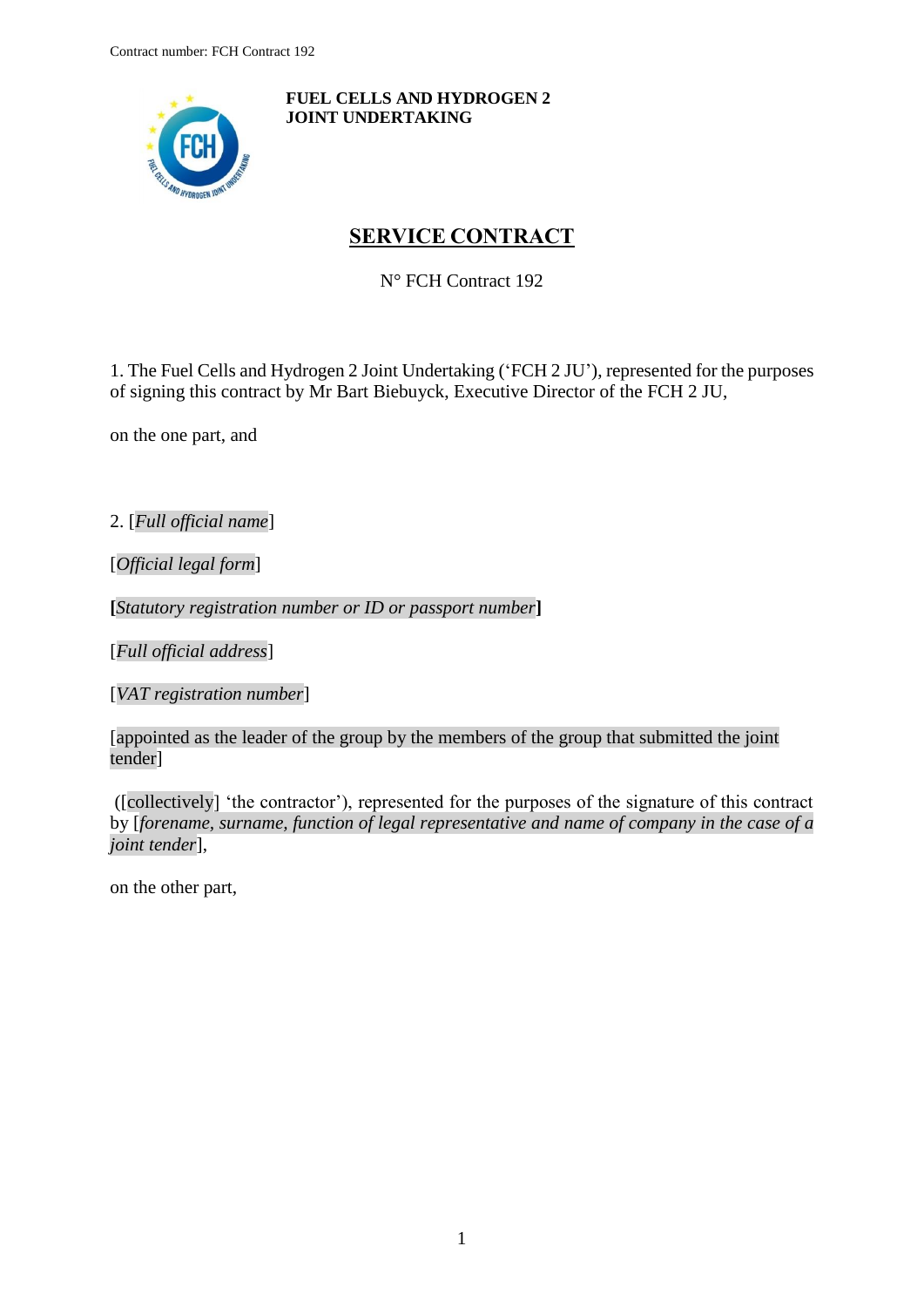<span id="page-0-0"></span>

**FUEL CELLS AND HYDROGEN 2 JOINT UNDERTAKING**

# **SERVICE CONTRACT**

N° FCH Contract 192

1. The Fuel Cells and Hydrogen 2 Joint Undertaking ('FCH 2 JU'), represented for the purposes of signing this contract by Mr Bart Biebuyck, Executive Director of the FCH 2 JU,

on the one part, and

2. [*Full official name*]

[*Official legal form*]

**[***Statutory registration number or ID or passport number***]**

[*Full official address*]

[*VAT registration number*]

[appointed as the leader of the group by the members of the group that submitted the joint tender]

([collectively] 'the contractor'), represented for the purposes of the signature of this contract by [*forename, surname, function of legal representative and name of company in the case of a joint tender*],

on the other part,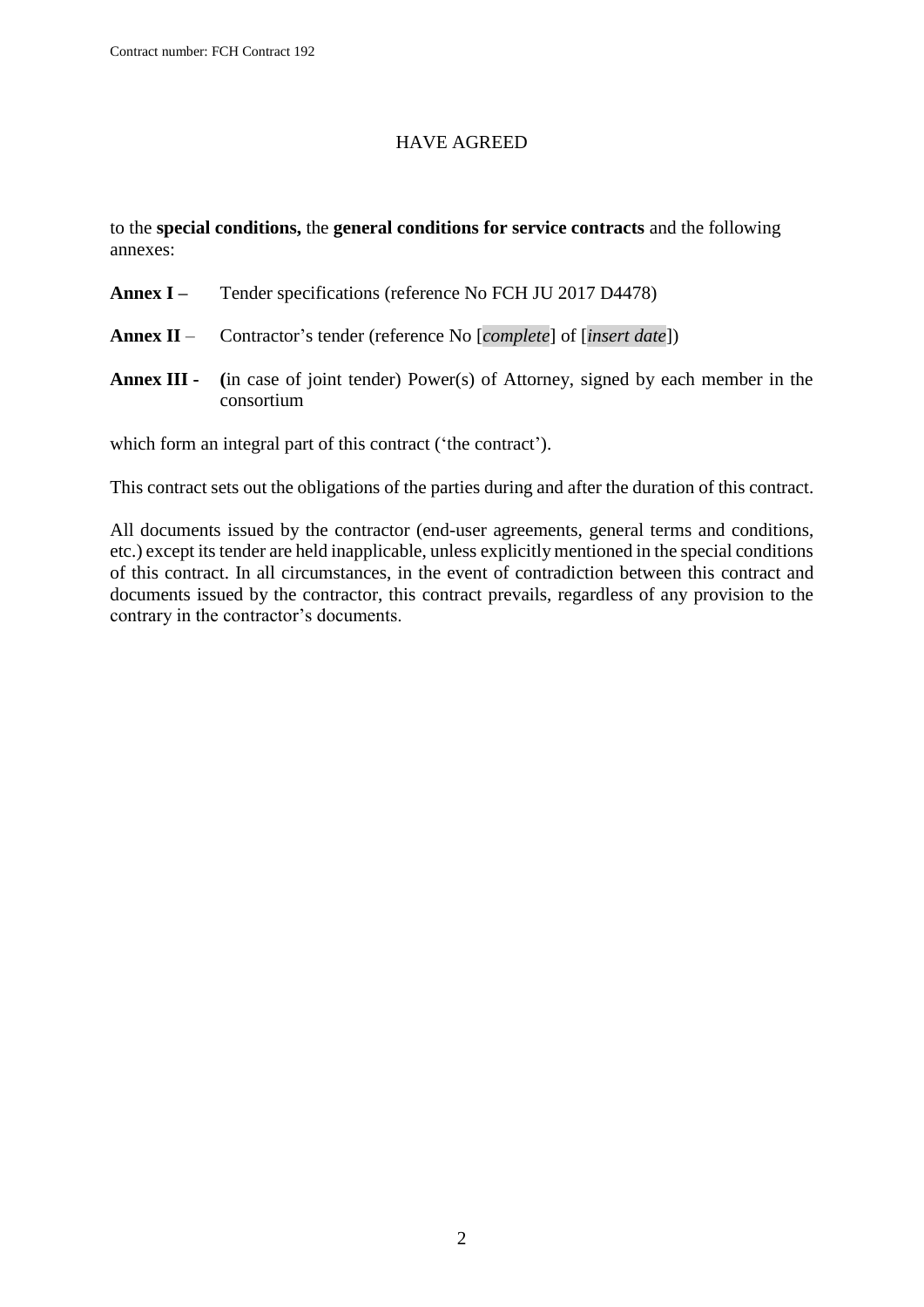#### HAVE AGREED

to the **special conditions,** the **general conditions for service contracts** and the following annexes:

- **Annex I –** Tender specifications (reference No FCH JU 2017 D4478)
- **Annex II** Contractor's tender (reference No [*complete*] of [*insert date*])
- **Annex III - (**in case of joint tender) Power(s) of Attorney, signed by each member in the consortium

which form an integral part of this contract ('the contract').

This contract sets out the obligations of the parties during and after the duration of this contract.

All documents issued by the contractor (end-user agreements, general terms and conditions, etc.) except its tender are held inapplicable, unless explicitly mentioned in the special conditions of this contract. In all circumstances, in the event of contradiction between this contract and documents issued by the contractor, this contract prevails, regardless of any provision to the contrary in the contractor's documents.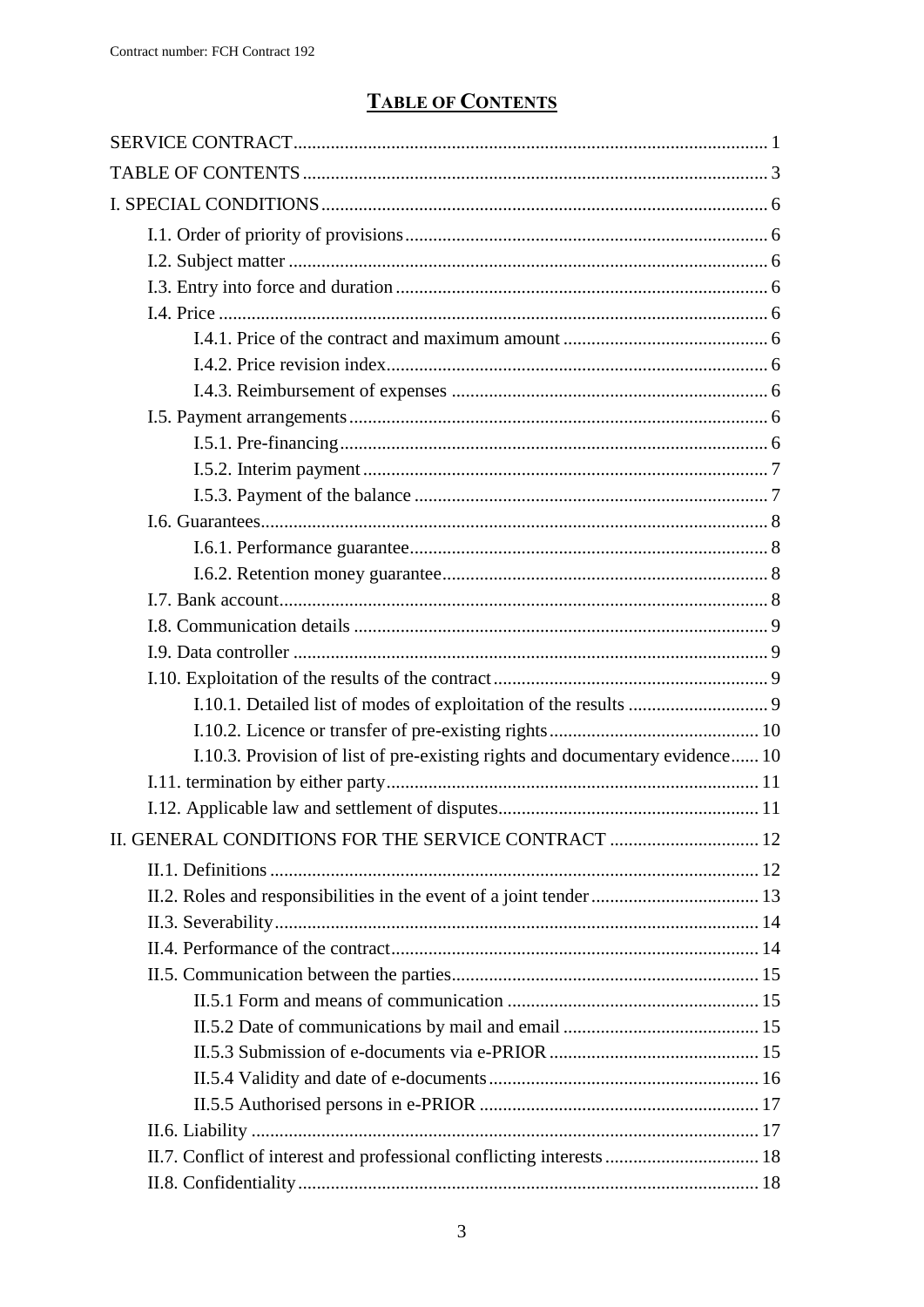# **TABLE OF CONTENTS**

<span id="page-2-0"></span>

| I.10.3. Provision of list of pre-existing rights and documentary evidence 10 |  |
|------------------------------------------------------------------------------|--|
|                                                                              |  |
|                                                                              |  |
| II. GENERAL CONDITIONS FOR THE SERVICE CONTRACT  12                          |  |
|                                                                              |  |
|                                                                              |  |
|                                                                              |  |
|                                                                              |  |
|                                                                              |  |
|                                                                              |  |
|                                                                              |  |
|                                                                              |  |
|                                                                              |  |
|                                                                              |  |
|                                                                              |  |
|                                                                              |  |
|                                                                              |  |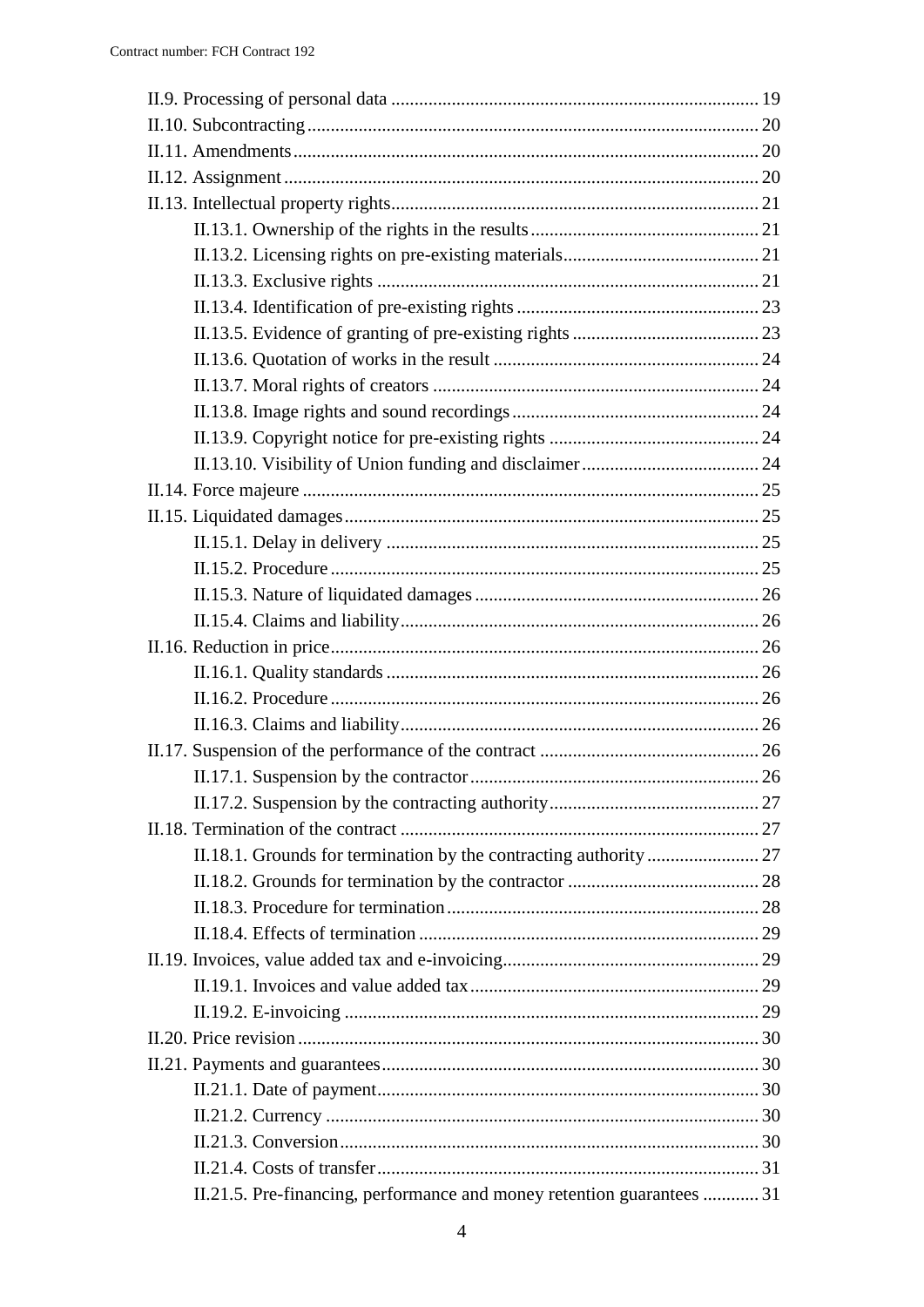| II.21.5. Pre-financing, performance and money retention guarantees  31 |  |
|------------------------------------------------------------------------|--|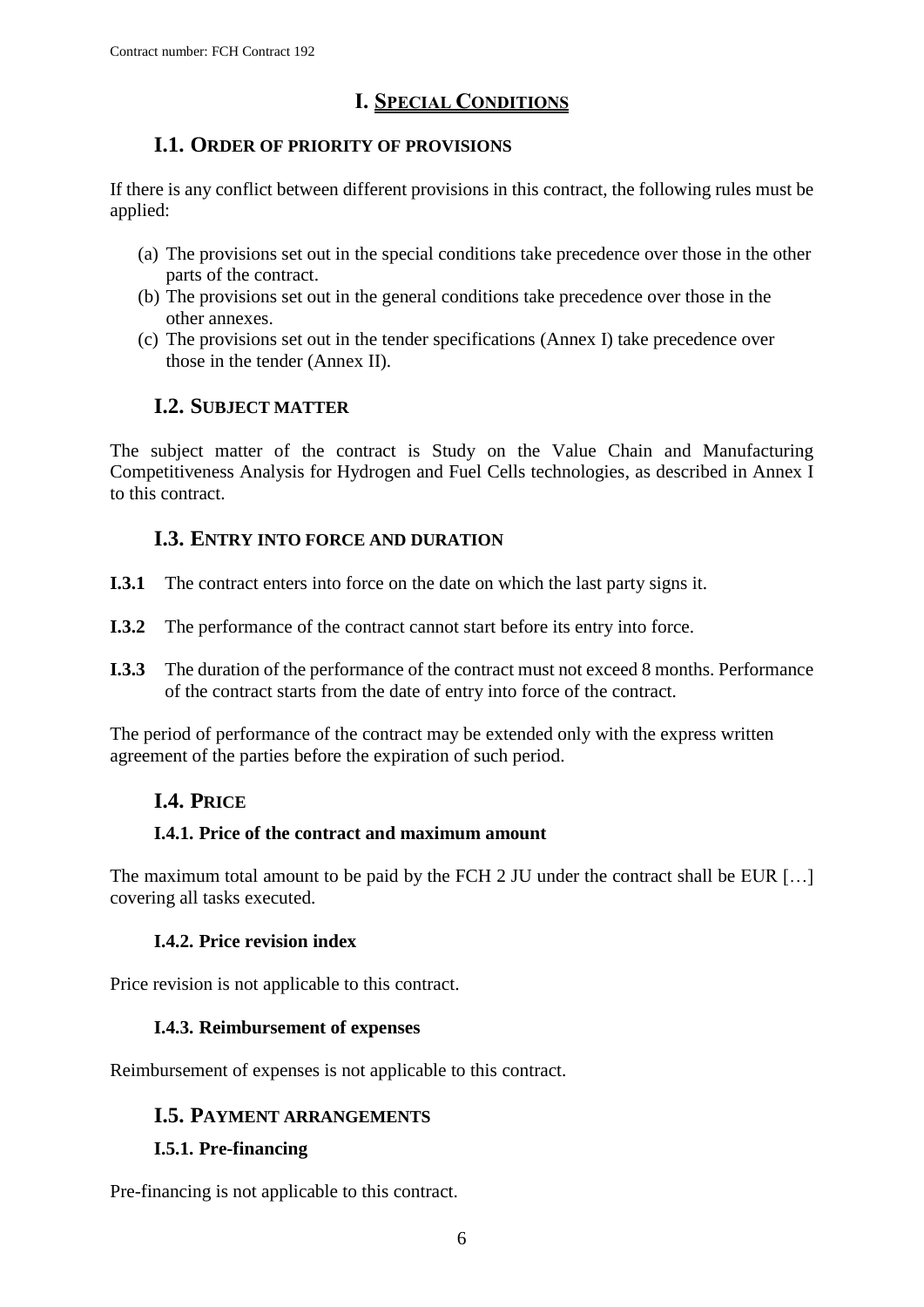## **I. SPECIAL CONDITIONS**

## <span id="page-5-0"></span>**I.1. ORDER OF PRIORITY OF PROVISIONS**

<span id="page-5-1"></span>If there is any conflict between different provisions in this contract, the following rules must be applied:

- (a) The provisions set out in the special conditions take precedence over those in the other parts of the contract.
- (b) The provisions set out in the general conditions take precedence over those in the other annexes.
- (c) The provisions set out in the tender specifications (Annex I) take precedence over those in the tender (Annex II).

## **I.2. SUBJECT MATTER**

<span id="page-5-2"></span>The subject matter of the contract is Study on the Value Chain and Manufacturing Competitiveness Analysis for Hydrogen and Fuel Cells technologies, as described in Annex I to this contract.

## **I.3. ENTRY INTO FORCE AND DURATION**

- <span id="page-5-3"></span>**I.3.1** The contract enters into force on the date on which the last party signs it.
- **I.3.2** The performance of the contract cannot start before its entry into force.
- **I.3.3** The duration of the performance of the contract must not exceed 8 months. Performance of the contract starts from the date of entry into force of the contract.

<span id="page-5-4"></span>The period of performance of the contract may be extended only with the express written agreement of the parties before the expiration of such period.

## **I.4. PRICE**

## <span id="page-5-5"></span>**I.4.1. Price of the contract and maximum amount**

The maximum total amount to be paid by the FCH 2 JU under the contract shall be EUR [...] covering all tasks executed.

## **I.4.2. Price revision index**

<span id="page-5-7"></span><span id="page-5-6"></span>Price revision is not applicable to this contract.

#### **I.4.3. Reimbursement of expenses**

<span id="page-5-8"></span>Reimbursement of expenses is not applicable to this contract.

## **I.5. PAYMENT ARRANGEMENTS**

#### <span id="page-5-9"></span>**I.5.1. Pre-financing**

Pre-financing is not applicable to this contract.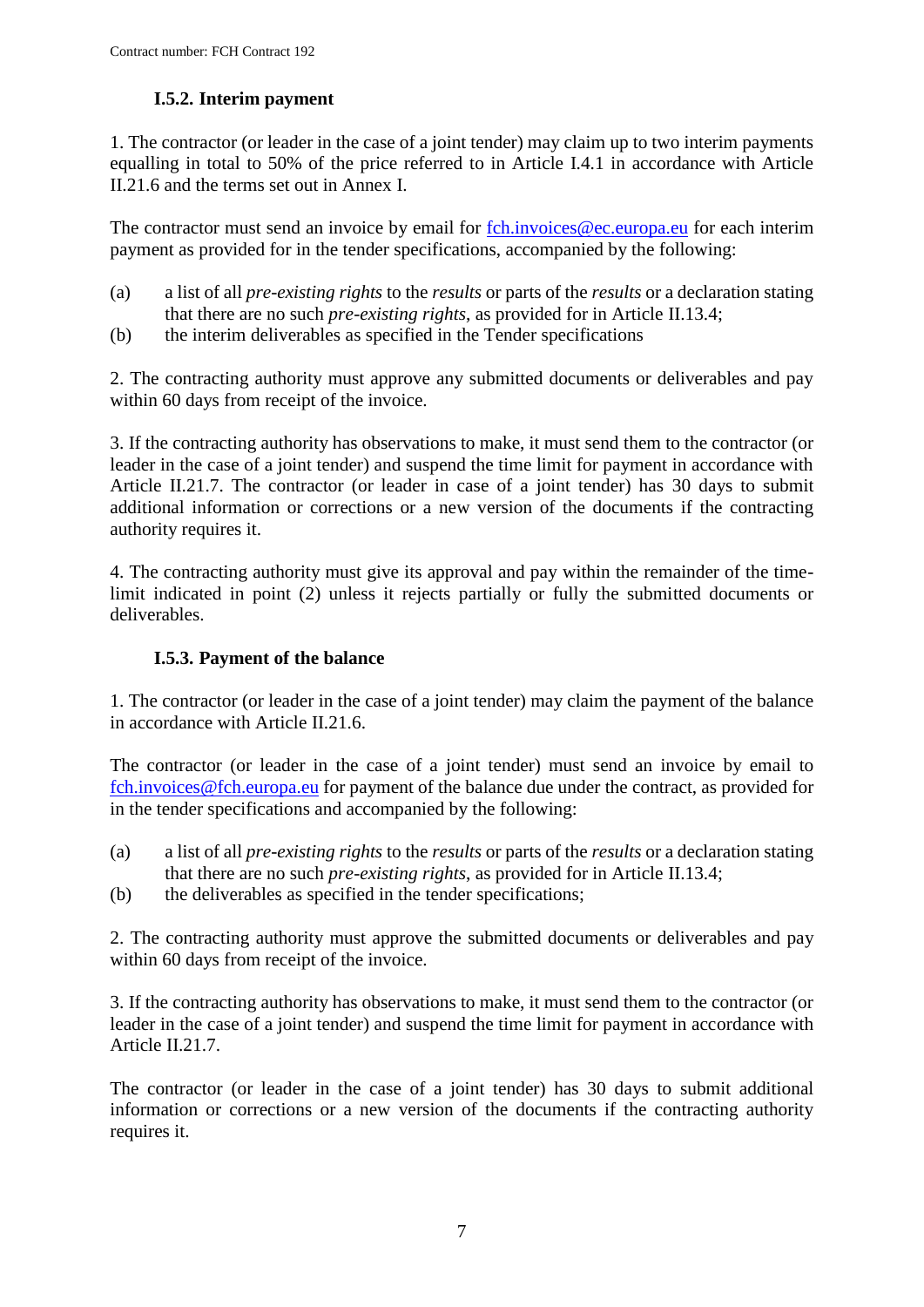## **I.5.2. Interim payment**

<span id="page-6-1"></span><span id="page-6-0"></span>1. The contractor (or leader in the case of a joint tender) may claim up to two interim payments equalling in total to 50% of the price referred to in Article I.4.1 in accordance with Article II.21.6 and the terms set out in Annex I.

The contractor must send an invoice by email for [fch.invoices@ec.europa.eu](mailto:fch.invoices@ec.europa.eu) for each interim payment as provided for in the tender specifications, accompanied by the following:

- (a) a list of all *pre-existing rights* to the *results* or parts of the *results* or a declaration stating that there are no such *pre-existing rights*, as provided for in Article II.13.4;
- (b) the interim deliverables as specified in the Tender specifications

2. The contracting authority must approve any submitted documents or deliverables and pay within 60 days from receipt of the invoice.

3. If the contracting authority has observations to make, it must send them to the contractor (or leader in the case of a joint tender) and suspend the time limit for payment in accordance with Article II.21.7. The contractor (or leader in case of a joint tender) has 30 days to submit additional information or corrections or a new version of the documents if the contracting authority requires it.

4. The contracting authority must give its approval and pay within the remainder of the timelimit indicated in point (2) unless it rejects partially or fully the submitted documents or deliverables.

## **I.5.3. Payment of the balance**

1. The contractor (or leader in the case of a joint tender) may claim the payment of the balance in accordance with Article II.21.6.

The contractor (or leader in the case of a joint tender) must send an invoice by email to [fch.invoices@fch.europa.eu](mailto:fch.invoices@fch.europa.eu) for payment of the balance due under the contract, as provided for in the tender specifications and accompanied by the following:

- (a) a list of all *pre-existing rights* to the *results* or parts of the *results* or a declaration stating that there are no such *pre-existing rights*, as provided for in Article II.13.4;
- (b) the deliverables as specified in the tender specifications;

2. The contracting authority must approve the submitted documents or deliverables and pay within 60 days from receipt of the invoice.

3. If the contracting authority has observations to make, it must send them to the contractor (or leader in the case of a joint tender) and suspend the time limit for payment in accordance with Article II.21.7.

The contractor (or leader in the case of a joint tender) has 30 days to submit additional information or corrections or a new version of the documents if the contracting authority requires it.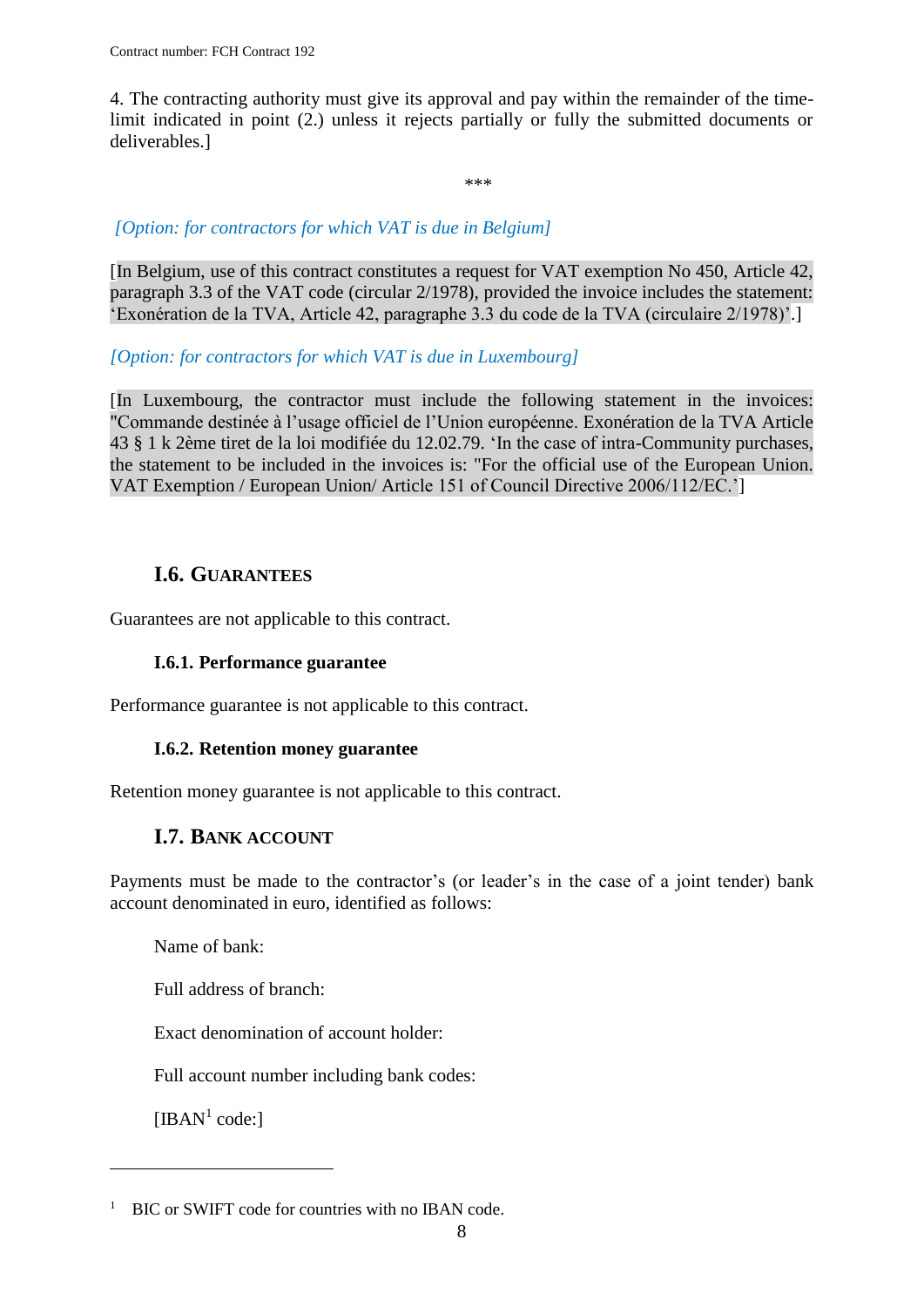4. The contracting authority must give its approval and pay within the remainder of the timelimit indicated in point (2.) unless it rejects partially or fully the submitted documents or deliverables.]

\*\*\*

## *[Option: for contractors for which VAT is due in Belgium]*

[In Belgium, use of this contract constitutes a request for VAT exemption No 450, Article 42, paragraph 3.3 of the VAT code (circular 2/1978), provided the invoice includes the statement: 'Exonération de la TVA, Article 42, paragraphe 3.3 du code de la TVA (circulaire 2/1978)'.]

### *[Option: for contractors for which VAT is due in Luxembourg]*

[In Luxembourg, the contractor must include the following statement in the invoices: "Commande destinée à l'usage officiel de l'Union européenne. Exonération de la TVA Article 43 § 1 k 2ème tiret de la loi modifiée du 12.02.79. 'In the case of intra-Community purchases, the statement to be included in the invoices is: "For the official use of the European Union. VAT Exemption / European Union/ Article 151 of Council Directive 2006/112/EC.']

## **I.6. GUARANTEES**

<span id="page-7-1"></span><span id="page-7-0"></span>Guarantees are not applicable to this contract.

## **I.6.1. Performance guarantee**

Performance guarantee is not applicable to this contract.

## **I.6.2. Retention money guarantee**

<span id="page-7-3"></span><span id="page-7-2"></span>Retention money guarantee is not applicable to this contract.

## **I.7. BANK ACCOUNT**

Payments must be made to the contractor's (or leader's in the case of a joint tender) bank account denominated in euro, identified as follows:

Name of bank:

Full address of branch:

Exact denomination of account holder:

Full account number including bank codes:

[IBAN $<sup>1</sup>$  code:]</sup>

 $\overline{a}$ 

<sup>&</sup>lt;sup>1</sup> BIC or SWIFT code for countries with no IBAN code.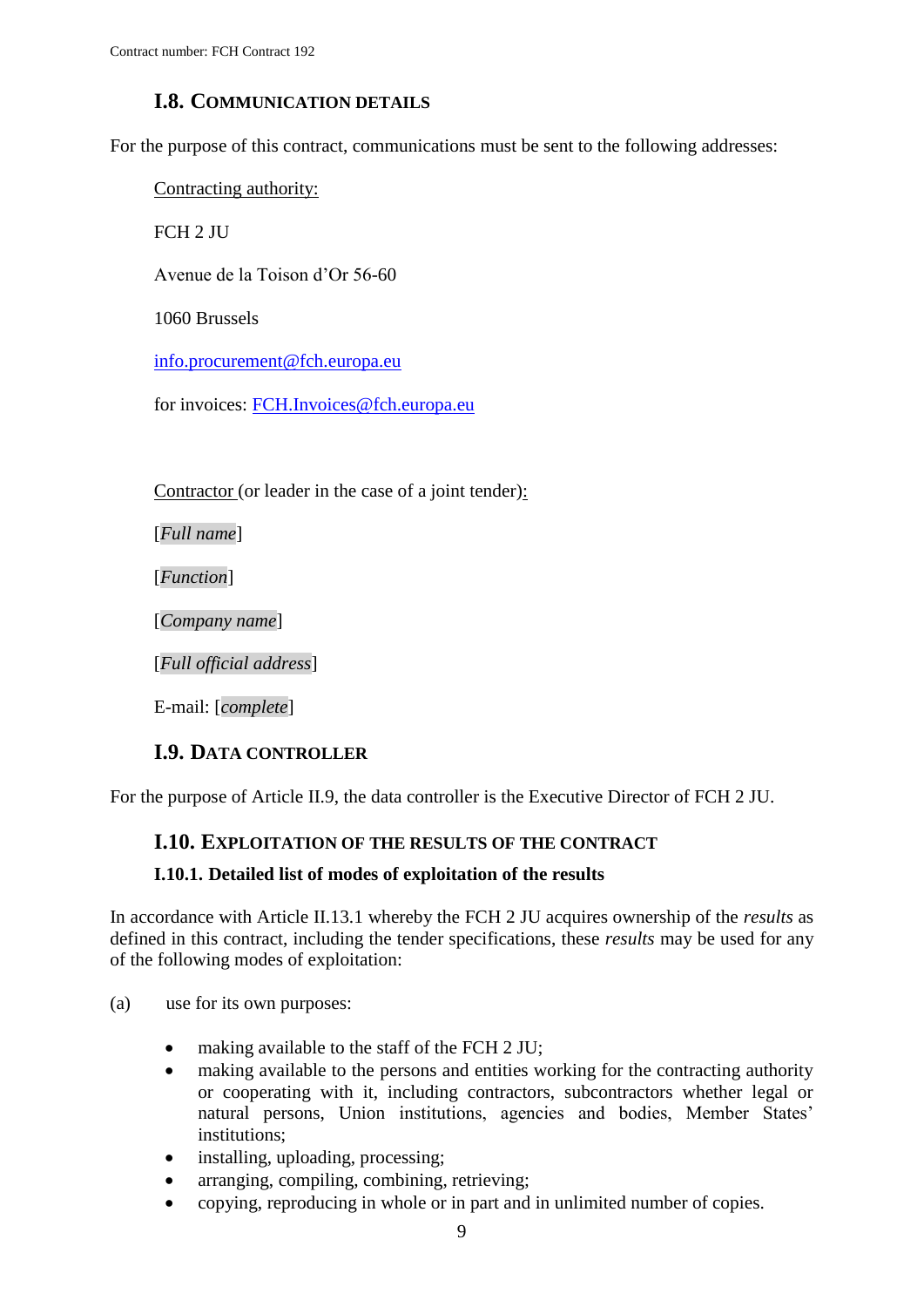## **I.8. COMMUNICATION DETAILS**

<span id="page-8-0"></span>For the purpose of this contract, communications must be sent to the following addresses:

Contracting authority:

FCH 2 JU

Avenue de la Toison d'Or 56-60

1060 Brussels

[info.procurement@fch.europa.eu](mailto:info.procurement@fch.europa.eu)

for invoices: [FCH.Invoices@fch.europa.eu](mailto:FCH.Invoices@fch.europa.eu)

Contractor (or leader in the case of a joint tender):

[*Full name*]

[*Function*]

[*Company name*]

[*Full official address*]

E-mail: [*complete*]

#### **I.9. DATA CONTROLLER**

<span id="page-8-2"></span><span id="page-8-1"></span>For the purpose of Article II.9, the data controller is the Executive Director of FCH 2 JU.

## **I.10. EXPLOITATION OF THE RESULTS OF THE CONTRACT**

#### <span id="page-8-3"></span>**I.10.1. Detailed list of modes of exploitation of the results**

In accordance with Article II.13.1 whereby the FCH 2 JU acquires ownership of the *results* as defined in this contract, including the tender specifications, these *results* may be used for any of the following modes of exploitation:

- (a) use for its own purposes:
	- making available to the staff of the FCH 2 JU;
	- making available to the persons and entities working for the contracting authority or cooperating with it, including contractors, subcontractors whether legal or natural persons, Union institutions, agencies and bodies, Member States' institutions;
	- installing, uploading, processing;
	- arranging, compiling, combining, retrieving;
	- copying, reproducing in whole or in part and in unlimited number of copies.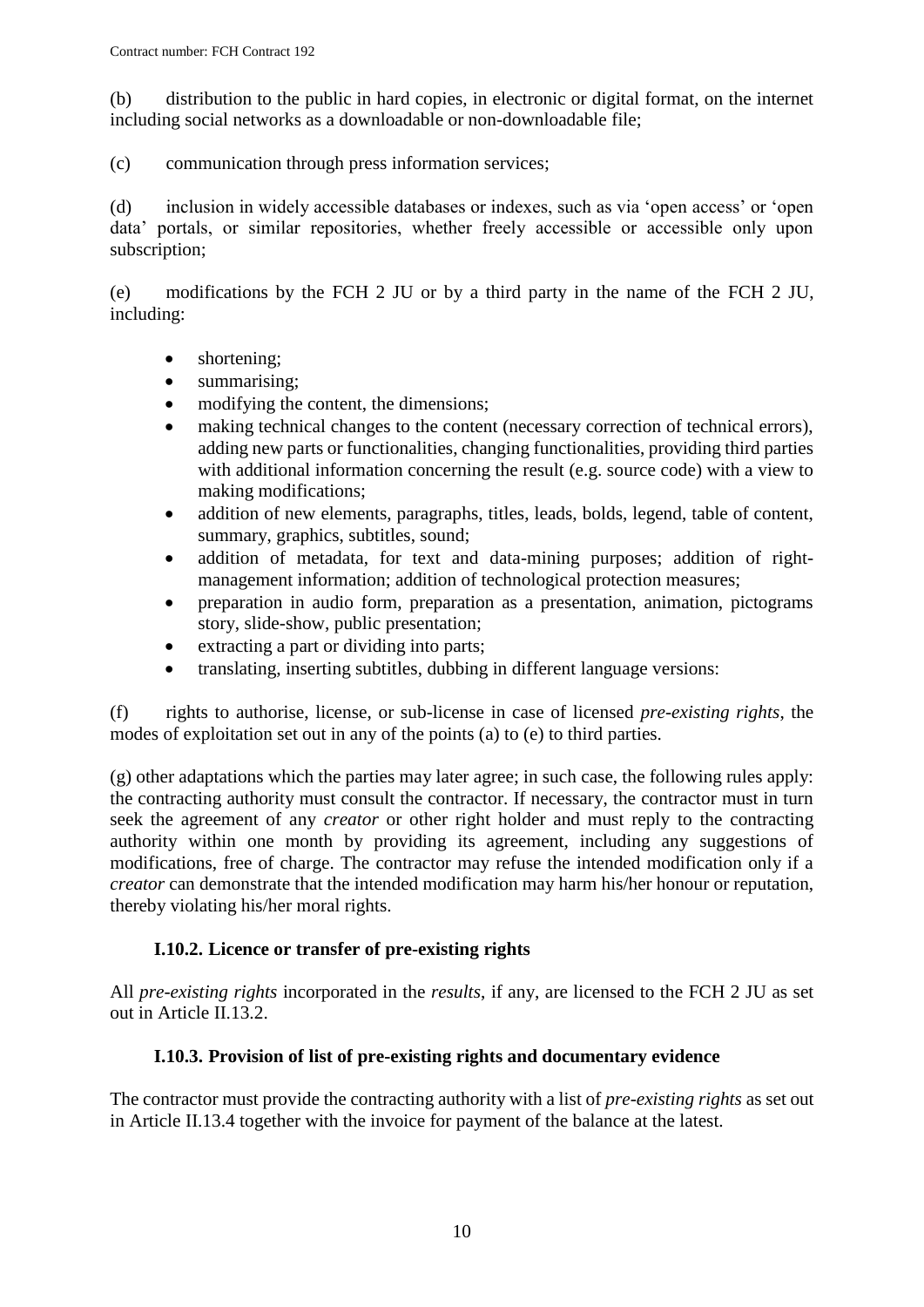(b) distribution to the public in hard copies, in electronic or digital format, on the internet including social networks as a downloadable or non-downloadable file;

(c) communication through press information services;

(d) inclusion in widely accessible databases or indexes, such as via 'open access' or 'open data' portals, or similar repositories, whether freely accessible or accessible only upon subscription;

(e) modifications by the FCH 2 JU or by a third party in the name of the FCH 2 JU, including:

- shortening;
- summarising;
- modifying the content, the dimensions:
- making technical changes to the content (necessary correction of technical errors), adding new parts or functionalities, changing functionalities, providing third parties with additional information concerning the result (e.g. source code) with a view to making modifications;
- addition of new elements, paragraphs, titles, leads, bolds, legend, table of content, summary, graphics, subtitles, sound;
- addition of metadata, for text and data-mining purposes; addition of rightmanagement information; addition of technological protection measures;
- preparation in audio form, preparation as a presentation, animation, pictograms story, slide-show, public presentation;
- extracting a part or dividing into parts;
- translating, inserting subtitles, dubbing in different language versions:

(f) rights to authorise, license, or sub-license in case of licensed *pre-existing rights*, the modes of exploitation set out in any of the points (a) to (e) to third parties.

(g) other adaptations which the parties may later agree; in such case, the following rules apply: the contracting authority must consult the contractor. If necessary, the contractor must in turn seek the agreement of any *creator* or other right holder and must reply to the contracting authority within one month by providing its agreement, including any suggestions of modifications, free of charge. The contractor may refuse the intended modification only if a *creator* can demonstrate that the intended modification may harm his/her honour or reputation, thereby violating his/her moral rights.

## **I.10.2. Licence or transfer of pre-existing rights**

<span id="page-9-0"></span>All *pre-existing rights* incorporated in the *results*, if any, are licensed to the FCH 2 JU as set out in Article II.13.2.

## **I.10.3. Provision of list of pre-existing rights and documentary evidence**

<span id="page-9-1"></span>The contractor must provide the contracting authority with a list of *pre-existing rights* as set out in Article II.13.4 together with the invoice for payment of the balance at the latest.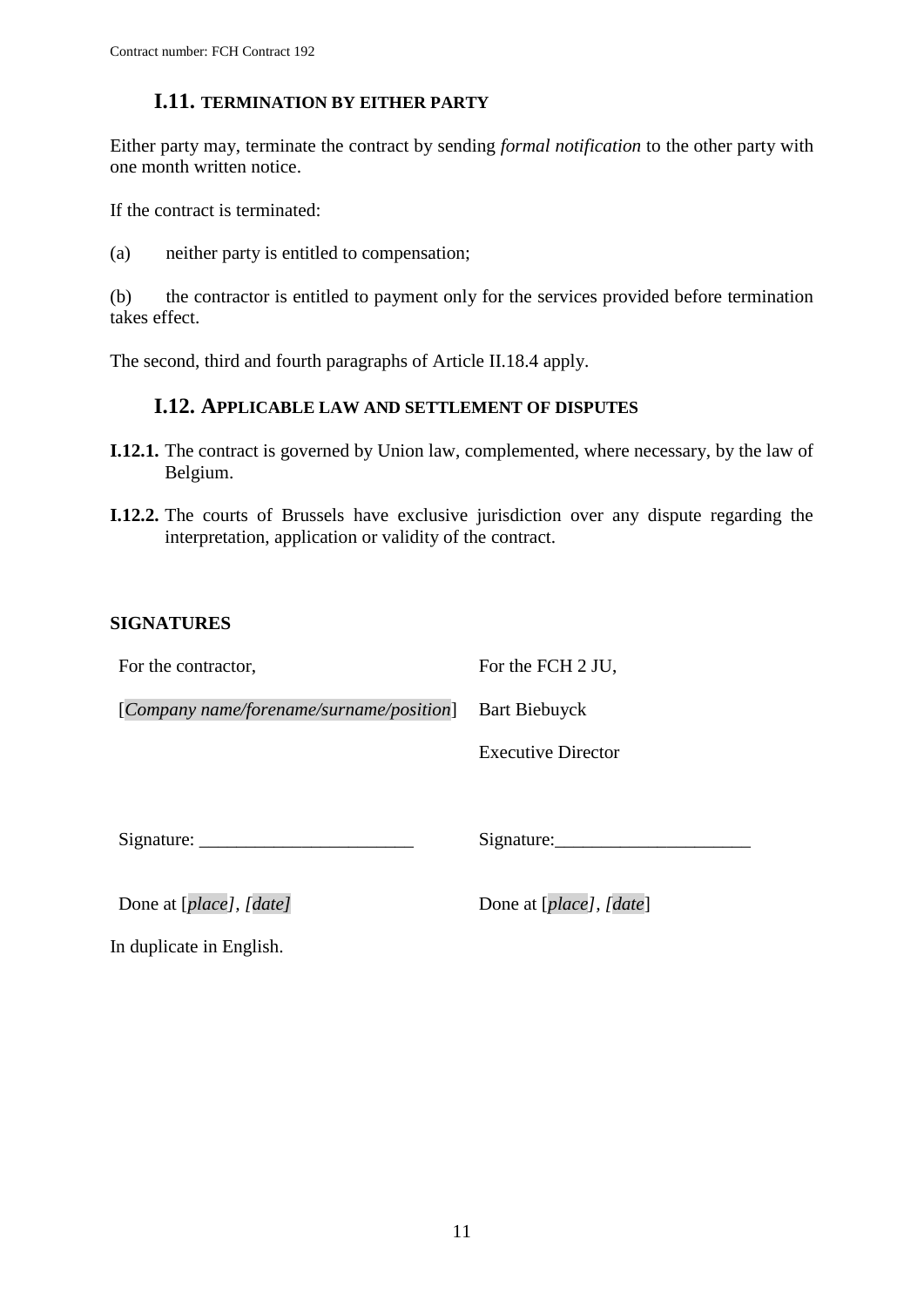### **I.11. TERMINATION BY EITHER PARTY**

<span id="page-10-0"></span>Either party may, terminate the contract by sending *formal notification* to the other party with one month written notice.

If the contract is terminated:

(a) neither party is entitled to compensation;

(b) the contractor is entitled to payment only for the services provided before termination takes effect.

<span id="page-10-1"></span>The second, third and fourth paragraphs of Article II.18.4 apply.

### **I.12. APPLICABLE LAW AND SETTLEMENT OF DISPUTES**

- **I.12.1.** The contract is governed by Union law, complemented, where necessary, by the law of Belgium.
- **I.12.2.** The courts of Brussels have exclusive jurisdiction over any dispute regarding the interpretation, application or validity of the contract.

#### **SIGNATURES**

For the contractor,

For the FCH 2 JU,

[*Company name/forename/surname/position*] Bart Biebuyck

Executive Director

Signature:

Signature:

Done at [*place*], [*date*] Done at [*place*], [*date*]

In duplicate in English.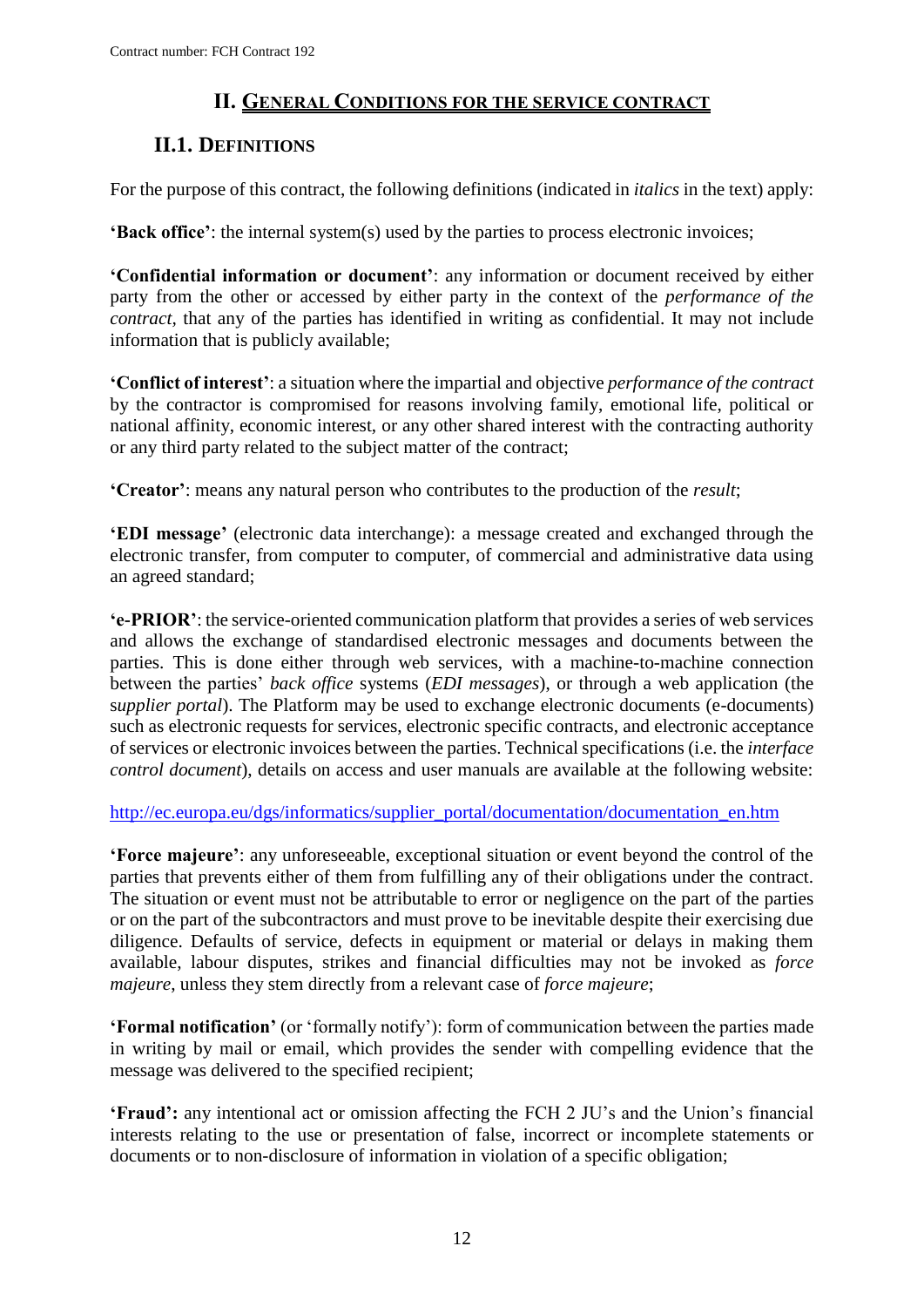## **II. GENERAL CONDITIONS FOR THE SERVICE CONTRACT**

## <span id="page-11-1"></span><span id="page-11-0"></span>**II.1. DEFINITIONS**

For the purpose of this contract, the following definitions (indicated in *italics* in the text) apply:

**'Back office'**: the internal system(s) used by the parties to process electronic invoices;

**'Confidential information or document'**: any information or document received by either party from the other or accessed by either party in the context of the *performance of the contract,* that any of the parties has identified in writing as confidential. It may not include information that is publicly available;

**'Conflict of interest'**: a situation where the impartial and objective *performance of the contract*  by the contractor is compromised for reasons involving family, emotional life, political or national affinity, economic interest, or any other shared interest with the contracting authority or any third party related to the subject matter of the contract;

**'Creator'**: means any natural person who contributes to the production of the *result*;

**'EDI message'** (electronic data interchange): a message created and exchanged through the electronic transfer, from computer to computer, of commercial and administrative data using an agreed standard;

**'e-PRIOR'**: the service-oriented communication platform that provides a series of web services and allows the exchange of standardised electronic messages and documents between the parties. This is done either through web services, with a machine-to-machine connection between the parties' *back office* systems (*EDI messages*), or through a web application (the s*upplier portal*). The Platform may be used to exchange electronic documents (e-documents) such as electronic requests for services, electronic specific contracts, and electronic acceptance of services or electronic invoices between the parties. Technical specifications (i.e. the *interface control document*), details on access and user manuals are available at the following website:

[http://ec.europa.eu/dgs/informatics/supplier\\_portal/documentation/documentation\\_en.htm](http://ec.europa.eu/dgs/informatics/supplier_portal/documentation/documentation_en.htm)

**'Force majeure'**: any unforeseeable, exceptional situation or event beyond the control of the parties that prevents either of them from fulfilling any of their obligations under the contract. The situation or event must not be attributable to error or negligence on the part of the parties or on the part of the subcontractors and must prove to be inevitable despite their exercising due diligence. Defaults of service, defects in equipment or material or delays in making them available, labour disputes, strikes and financial difficulties may not be invoked as *force majeure*, unless they stem directly from a relevant case of *force majeure*;

**'Formal notification'** (or 'formally notify'): form of communication between the parties made in writing by mail or email, which provides the sender with compelling evidence that the message was delivered to the specified recipient;

**'Fraud':** any intentional act or omission affecting the FCH 2 JU's and the Union's financial interests relating to the use or presentation of false, incorrect or incomplete statements or documents or to non-disclosure of information in violation of a specific obligation;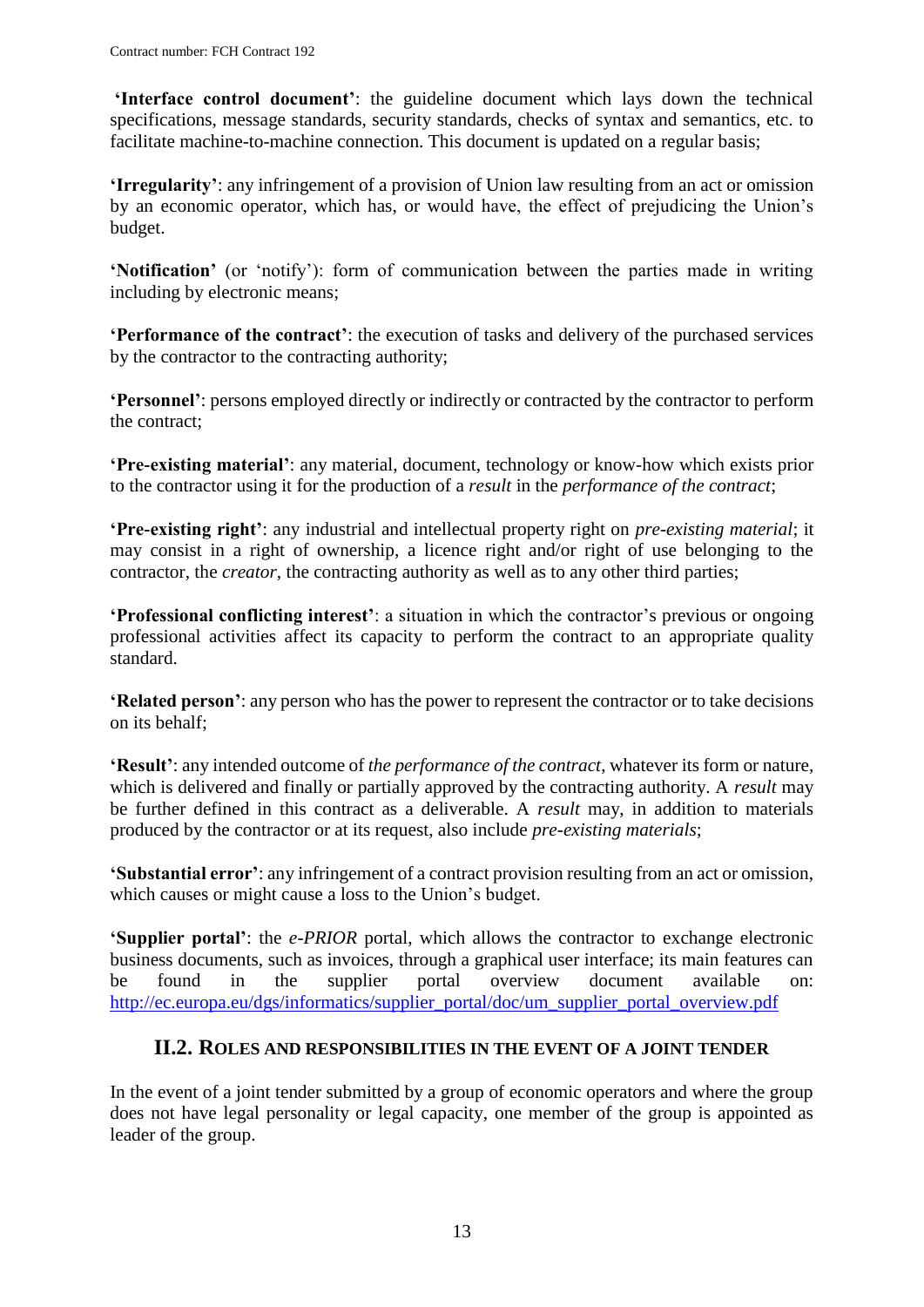**'Interface control document'**: the guideline document which lays down the technical specifications, message standards, security standards, checks of syntax and semantics, etc. to facilitate machine-to-machine connection. This document is updated on a regular basis;

**'Irregularity'**: any infringement of a provision of Union law resulting from an act or omission by an economic operator, which has, or would have, the effect of prejudicing the Union's budget.

**'Notification'** (or 'notify'): form of communication between the parties made in writing including by electronic means;

**'Performance of the contract'**: the execution of tasks and delivery of the purchased services by the contractor to the contracting authority;

**'Personnel'**: persons employed directly or indirectly or contracted by the contractor to perform the contract;

**'Pre-existing material'**: any material, document, technology or know-how which exists prior to the contractor using it for the production of a *result* in the *performance of the contract*;

**'Pre-existing right'**: any industrial and intellectual property right on *pre-existing material*; it may consist in a right of ownership, a licence right and/or right of use belonging to the contractor, the *creator*, the contracting authority as well as to any other third parties;

**'Professional conflicting interest'**: a situation in which the contractor's previous or ongoing professional activities affect its capacity to perform the contract to an appropriate quality standard.

**'Related person'**: any person who has the power to represent the contractor or to take decisions on its behalf;

**'Result'**: any intended outcome of *the performance of the contract*, whatever its form or nature, which is delivered and finally or partially approved by the contracting authority. A *result* may be further defined in this contract as a deliverable. A *result* may, in addition to materials produced by the contractor or at its request, also include *pre-existing materials*;

**'Substantial error'**: any infringement of a contract provision resulting from an act or omission, which causes or might cause a loss to the Union's budget.

**'Supplier portal'**: the *e-PRIOR* portal, which allows the contractor to exchange electronic business documents, such as invoices, through a graphical user interface; its main features can be found in the supplier portal overview document available on: [http://ec.europa.eu/dgs/informatics/supplier\\_portal/doc/um\\_supplier\\_portal\\_overview.pdf](http://ec.europa.eu/dgs/informatics/supplier_portal/doc/um_supplier_portal_overview.pdf)

#### **II.2. ROLES AND RESPONSIBILITIES IN THE EVENT OF A JOINT TENDER**

<span id="page-12-0"></span>In the event of a joint tender submitted by a group of economic operators and where the group does not have legal personality or legal capacity, one member of the group is appointed as leader of the group.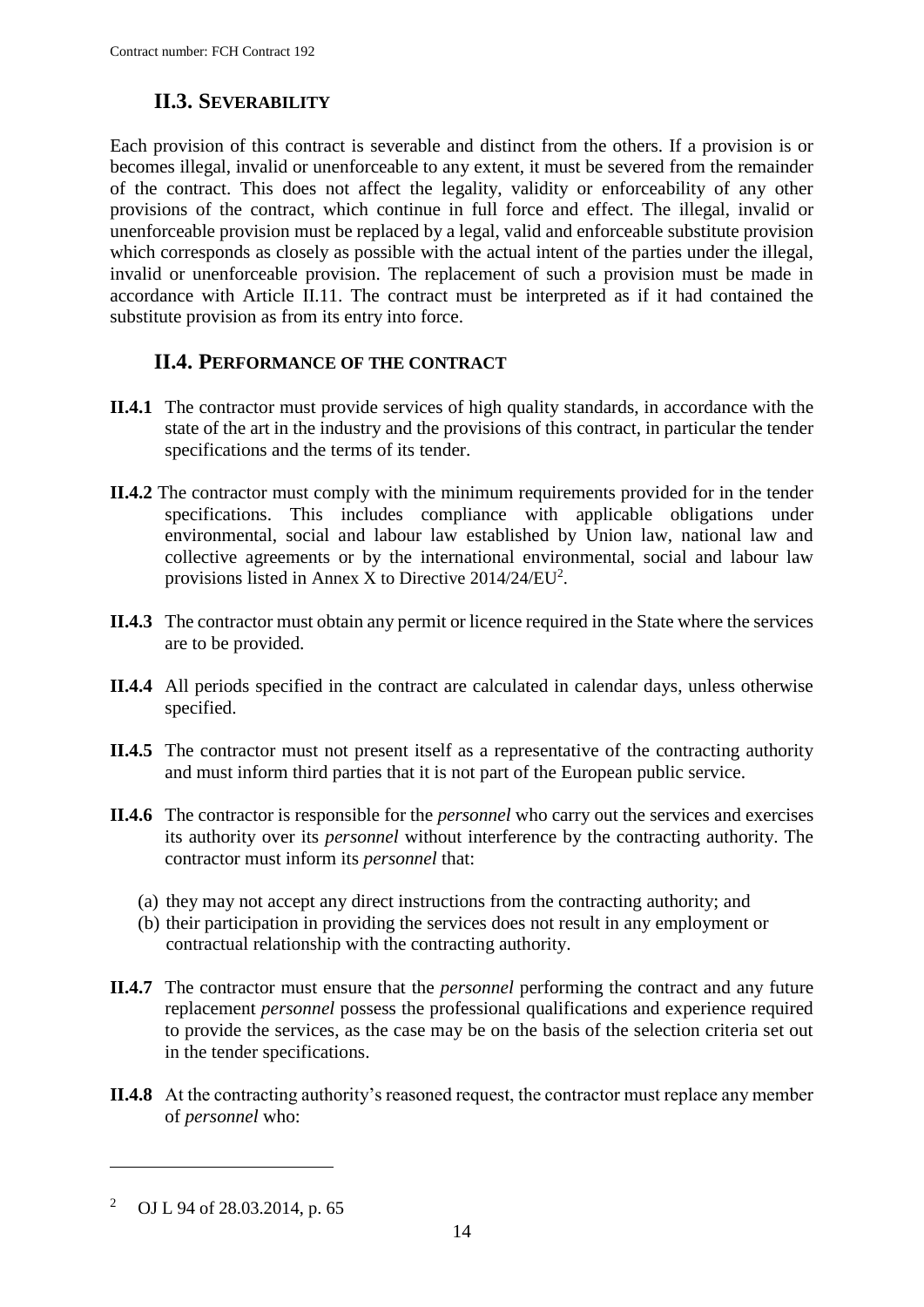## **II.3. SEVERABILITY**

<span id="page-13-0"></span>Each provision of this contract is severable and distinct from the others. If a provision is or becomes illegal, invalid or unenforceable to any extent, it must be severed from the remainder of the contract. This does not affect the legality, validity or enforceability of any other provisions of the contract, which continue in full force and effect. The illegal, invalid or unenforceable provision must be replaced by a legal, valid and enforceable substitute provision which corresponds as closely as possible with the actual intent of the parties under the illegal, invalid or unenforceable provision. The replacement of such a provision must be made in accordance with Article II.11. The contract must be interpreted as if it had contained the substitute provision as from its entry into force.

## **II.4. PERFORMANCE OF THE CONTRACT**

- <span id="page-13-1"></span>**II.4.1** The contractor must provide services of high quality standards, in accordance with the state of the art in the industry and the provisions of this contract, in particular the tender specifications and the terms of its tender.
- **II.4.2** The contractor must comply with the minimum requirements provided for in the tender specifications. This includes compliance with applicable obligations under environmental, social and labour law established by Union law, national law and collective agreements or by the international environmental, social and labour law provisions listed in Annex X to Directive  $2014/24/EU^2$ .
- **II.4.3** The contractor must obtain any permit or licence required in the State where the services are to be provided.
- **II.4.4** All periods specified in the contract are calculated in calendar days, unless otherwise specified.
- **II.4.5** The contractor must not present itself as a representative of the contracting authority and must inform third parties that it is not part of the European public service.
- **II.4.6** The contractor is responsible for the *personnel* who carry out the services and exercises its authority over its *personnel* without interference by the contracting authority. The contractor must inform its *personnel* that:
	- (a) they may not accept any direct instructions from the contracting authority; and
	- (b) their participation in providing the services does not result in any employment or contractual relationship with the contracting authority.
- **II.4.7** The contractor must ensure that the *personnel* performing the contract and any future replacement *personnel* possess the professional qualifications and experience required to provide the services, as the case may be on the basis of the selection criteria set out in the tender specifications.
- **II.4.8** At the contracting authority's reasoned request, the contractor must replace any member of *personnel* who:

 $\overline{a}$ 

<sup>2</sup> OJ L 94 of 28.03.2014, p. 65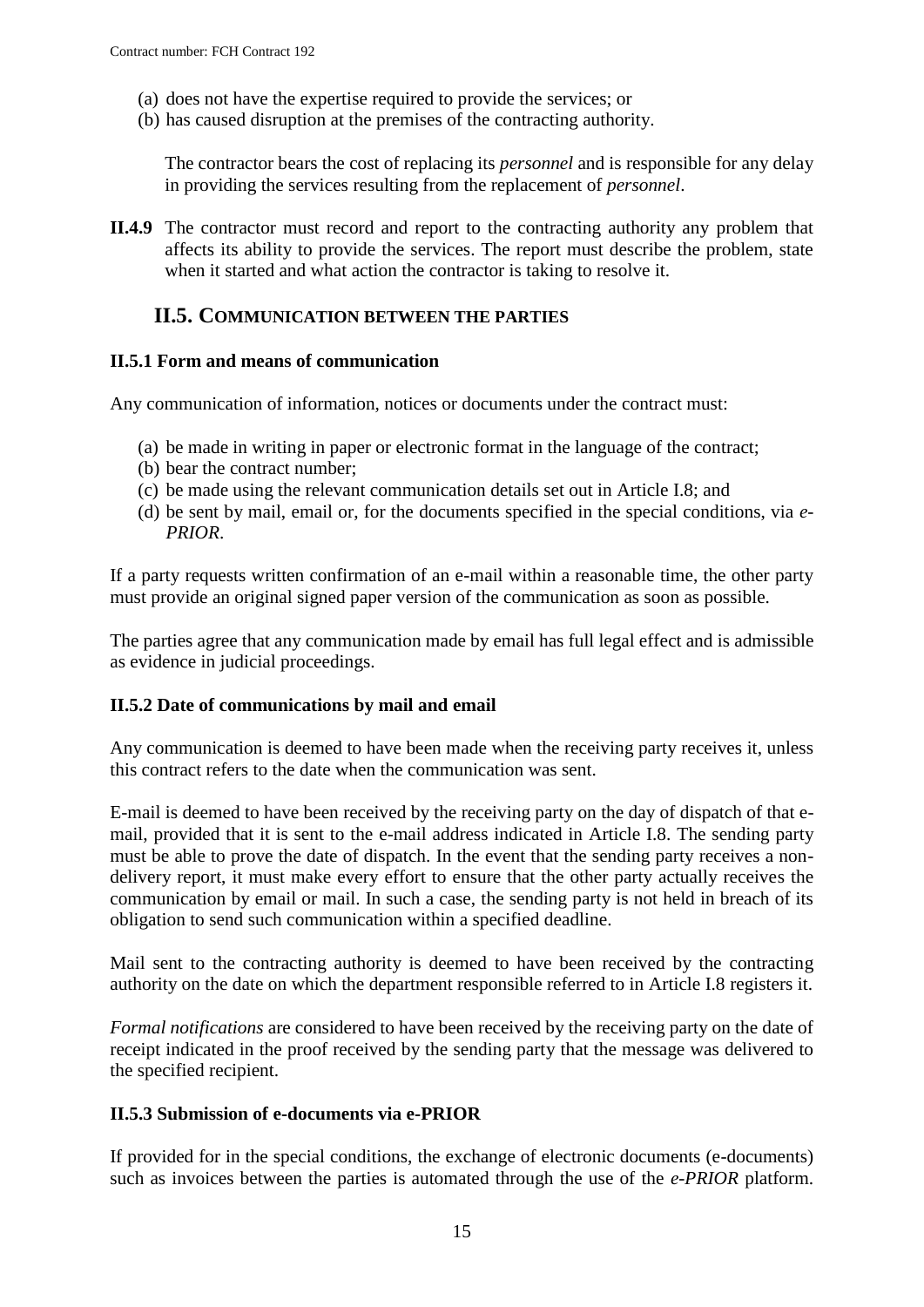- (a) does not have the expertise required to provide the services; or
- (b) has caused disruption at the premises of the contracting authority.

The contractor bears the cost of replacing its *personnel* and is responsible for any delay in providing the services resulting from the replacement of *personnel*.

**II.4.9** The contractor must record and report to the contracting authority any problem that affects its ability to provide the services. The report must describe the problem, state when it started and what action the contractor is taking to resolve it.

### <span id="page-14-0"></span>**II.5. COMMUNICATION BETWEEN THE PARTIES**

#### <span id="page-14-1"></span>**II.5.1 Form and means of communication**

Any communication of information, notices or documents under the contract must:

- (a) be made in writing in paper or electronic format in the language of the contract;
- (b) bear the contract number;
- (c) be made using the relevant communication details set out in Article I.8; and
- (d) be sent by mail, email or, for the documents specified in the special conditions, via *e-PRIOR*.

If a party requests written confirmation of an e-mail within a reasonable time, the other party must provide an original signed paper version of the communication as soon as possible.

The parties agree that any communication made by email has full legal effect and is admissible as evidence in judicial proceedings.

#### <span id="page-14-2"></span>**II.5.2 Date of communications by mail and email**

Any communication is deemed to have been made when the receiving party receives it, unless this contract refers to the date when the communication was sent.

E-mail is deemed to have been received by the receiving party on the day of dispatch of that email, provided that it is sent to the e-mail address indicated in Article I.8. The sending party must be able to prove the date of dispatch. In the event that the sending party receives a nondelivery report, it must make every effort to ensure that the other party actually receives the communication by email or mail. In such a case, the sending party is not held in breach of its obligation to send such communication within a specified deadline.

Mail sent to the contracting authority is deemed to have been received by the contracting authority on the date on which the department responsible referred to in Article I.8 registers it.

*Formal notifications* are considered to have been received by the receiving party on the date of receipt indicated in the proof received by the sending party that the message was delivered to the specified recipient.

#### <span id="page-14-3"></span>**II.5.3 Submission of e-documents via e-PRIOR**

If provided for in the special conditions, the exchange of electronic documents (e-documents) such as invoices between the parties is automated through the use of the *e-PRIOR* platform.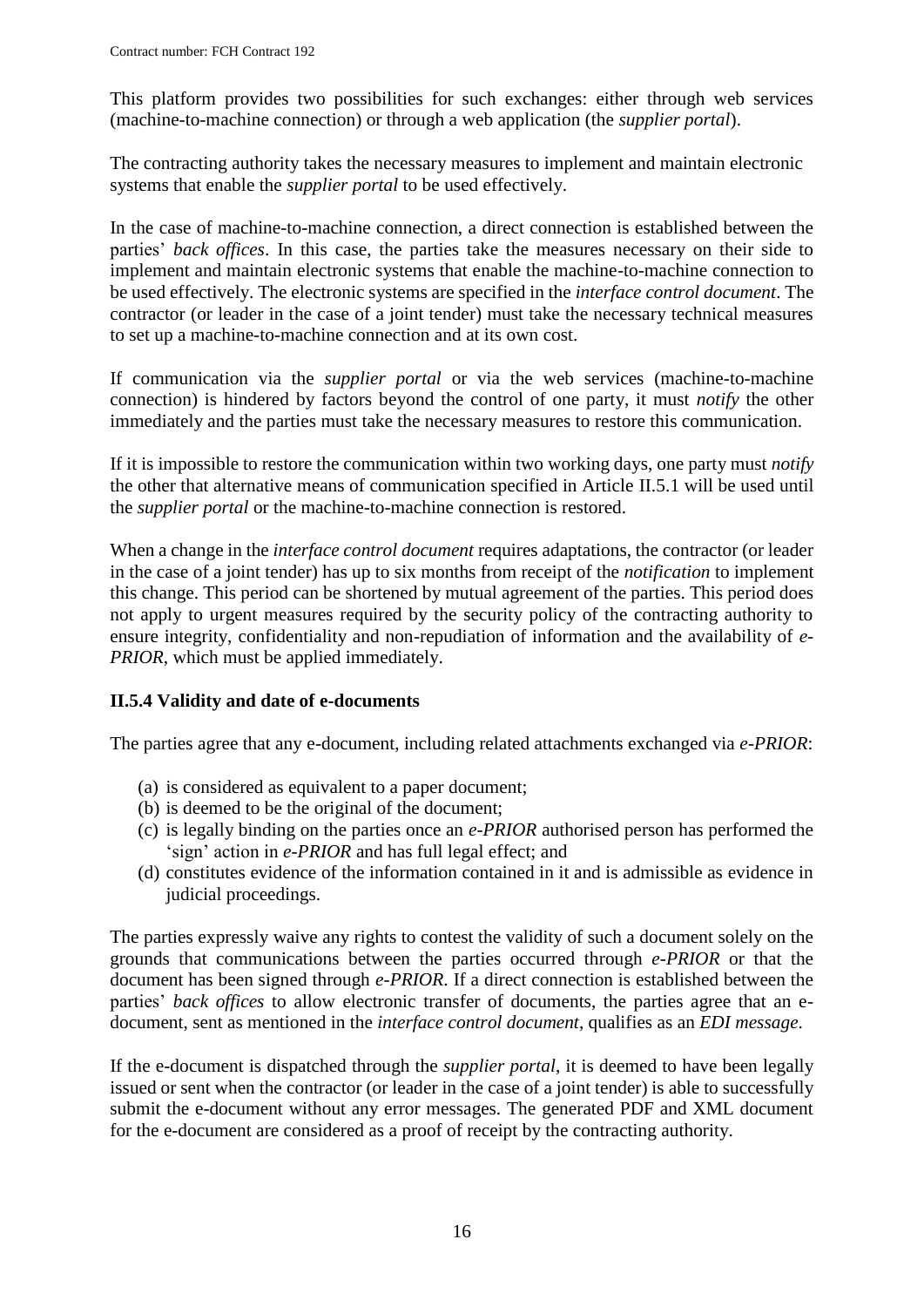This platform provides two possibilities for such exchanges: either through web services (machine-to-machine connection) or through a web application (the *supplier portal*).

The contracting authority takes the necessary measures to implement and maintain electronic systems that enable the *supplier portal* to be used effectively.

In the case of machine-to-machine connection, a direct connection is established between the parties' *back offices*. In this case, the parties take the measures necessary on their side to implement and maintain electronic systems that enable the machine-to-machine connection to be used effectively. The electronic systems are specified in the *interface control document*. The contractor (or leader in the case of a joint tender) must take the necessary technical measures to set up a machine-to-machine connection and at its own cost.

If communication via the *supplier portal* or via the web services (machine-to-machine connection) is hindered by factors beyond the control of one party, it must *notify* the other immediately and the parties must take the necessary measures to restore this communication.

If it is impossible to restore the communication within two working days, one party must *notify* the other that alternative means of communication specified in Article II.5.1 will be used until the *supplier portal* or the machine-to-machine connection is restored.

When a change in the *interface control document* requires adaptations, the contractor (or leader in the case of a joint tender) has up to six months from receipt of the *notification* to implement this change. This period can be shortened by mutual agreement of the parties. This period does not apply to urgent measures required by the security policy of the contracting authority to ensure integrity, confidentiality and non-repudiation of information and the availability of *e-PRIOR*, which must be applied immediately.

#### <span id="page-15-0"></span>**II.5.4 Validity and date of e-documents**

The parties agree that any e-document, including related attachments exchanged via *e-PRIOR*:

- (a) is considered as equivalent to a paper document;
- (b) is deemed to be the original of the document;
- (c) is legally binding on the parties once an *e-PRIOR* authorised person has performed the 'sign' action in *e-PRIOR* and has full legal effect; and
- (d) constitutes evidence of the information contained in it and is admissible as evidence in judicial proceedings.

The parties expressly waive any rights to contest the validity of such a document solely on the grounds that communications between the parties occurred through *e-PRIOR* or that the document has been signed through *e-PRIOR*. If a direct connection is established between the parties' *back offices* to allow electronic transfer of documents, the parties agree that an edocument, sent as mentioned in the *interface control document*, qualifies as an *EDI message*.

If the e-document is dispatched through the *supplier portal*, it is deemed to have been legally issued or sent when the contractor (or leader in the case of a joint tender) is able to successfully submit the e-document without any error messages. The generated PDF and XML document for the e-document are considered as a proof of receipt by the contracting authority.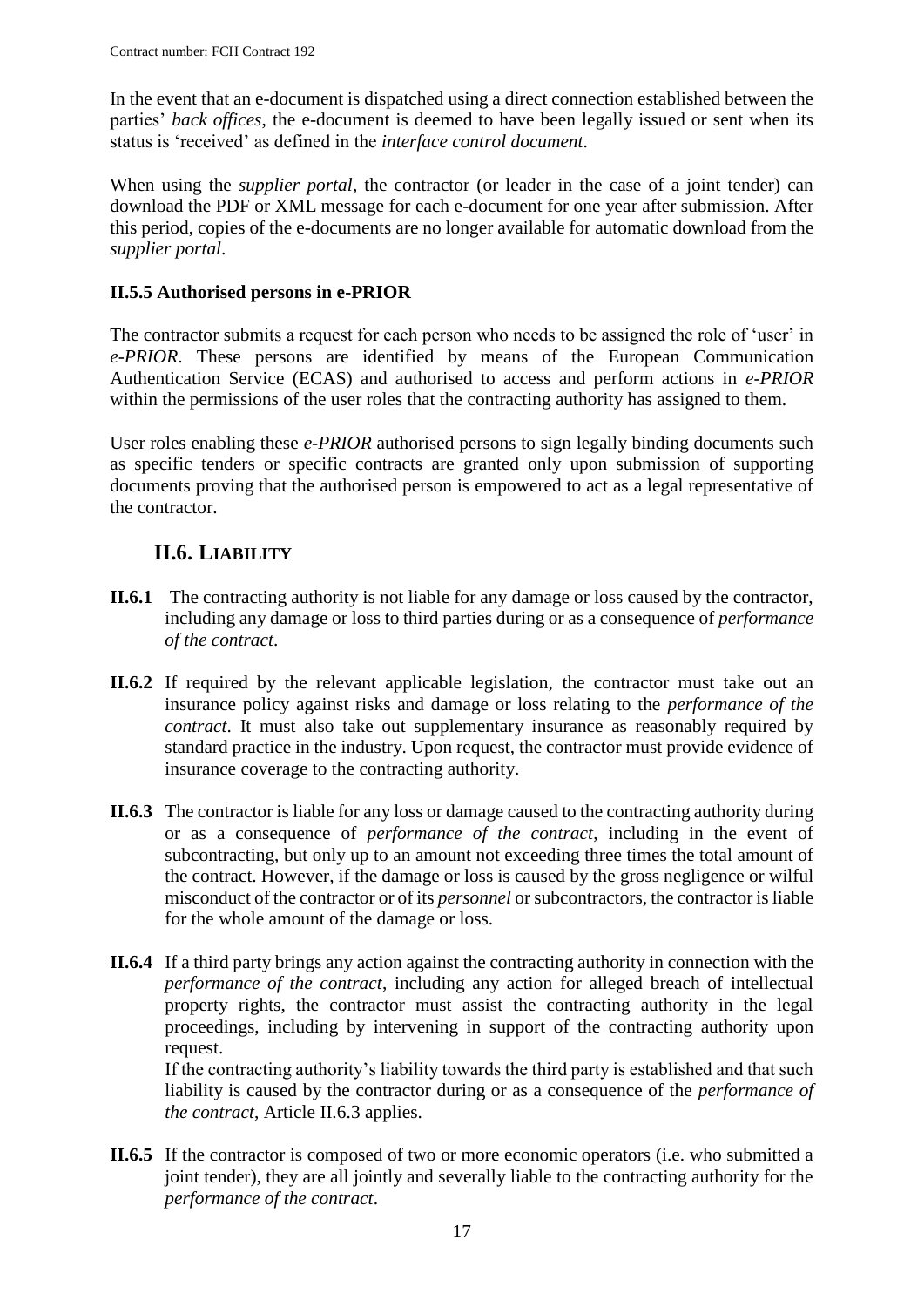In the event that an e-document is dispatched using a direct connection established between the parties' *back offices*, the e-document is deemed to have been legally issued or sent when its status is 'received' as defined in the *interface control document*.

When using the *supplier portal*, the contractor (or leader in the case of a joint tender) can download the PDF or XML message for each e-document for one year after submission. After this period, copies of the e-documents are no longer available for automatic download from the *supplier portal*.

## <span id="page-16-0"></span>**II.5.5 Authorised persons in e-PRIOR**

The contractor submits a request for each person who needs to be assigned the role of 'user' in *e-PRIOR*. These persons are identified by means of the European Communication Authentication Service (ECAS) and authorised to access and perform actions in *e-PRIOR* within the permissions of the user roles that the contracting authority has assigned to them.

User roles enabling these *e-PRIOR* authorised persons to sign legally binding documents such as specific tenders or specific contracts are granted only upon submission of supporting documents proving that the authorised person is empowered to act as a legal representative of the contractor.

## **II.6. LIABILITY**

- <span id="page-16-1"></span>**II.6.1** The contracting authority is not liable for any damage or loss caused by the contractor, including any damage or loss to third parties during or as a consequence of *performance of the contract*.
- **II.6.2** If required by the relevant applicable legislation, the contractor must take out an insurance policy against risks and damage or loss relating to the *performance of the contract*. It must also take out supplementary insurance as reasonably required by standard practice in the industry. Upon request, the contractor must provide evidence of insurance coverage to the contracting authority.
- **II.6.3** The contractor is liable for any loss or damage caused to the contracting authority during or as a consequence of *performance of the contract*, including in the event of subcontracting, but only up to an amount not exceeding three times the total amount of the contract. However, if the damage or loss is caused by the gross negligence or wilful misconduct of the contractor or of its *personnel* or subcontractors, the contractor is liable for the whole amount of the damage or loss.
- **II.6.4** If a third party brings any action against the contracting authority in connection with the *performance of the contract*, including any action for alleged breach of intellectual property rights, the contractor must assist the contracting authority in the legal proceedings, including by intervening in support of the contracting authority upon request.

If the contracting authority's liability towards the third party is established and that such liability is caused by the contractor during or as a consequence of the *performance of the contract*, Article II.6.3 applies.

**II.6.5** If the contractor is composed of two or more economic operators (i.e. who submitted a joint tender), they are all jointly and severally liable to the contracting authority for the *performance of the contract*.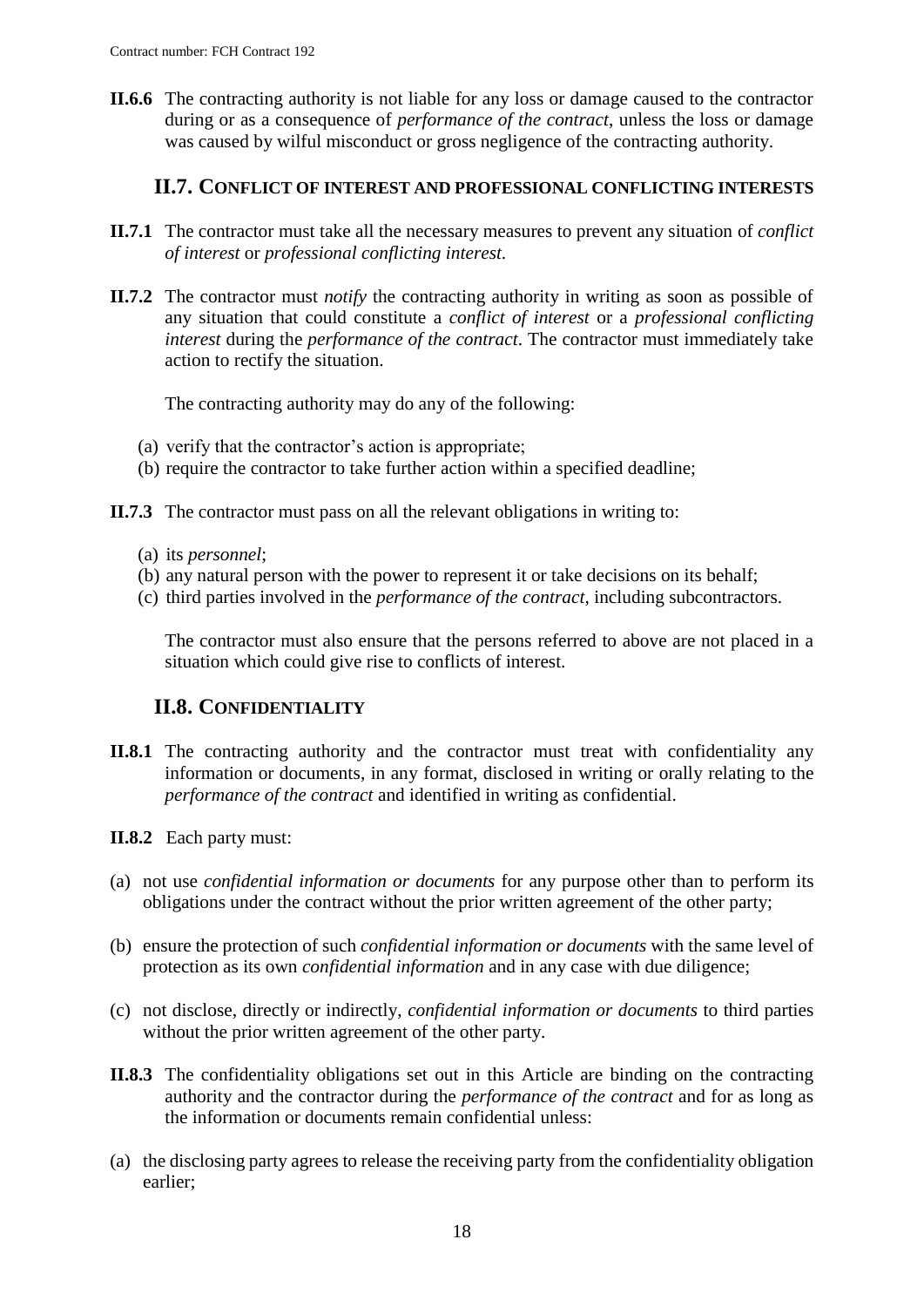**II.6.6** The contracting authority is not liable for any loss or damage caused to the contractor during or as a consequence of *performance of the contract*, unless the loss or damage was caused by wilful misconduct or gross negligence of the contracting authority.

#### **II.7. CONFLICT OF INTEREST AND PROFESSIONAL CONFLICTING INTERESTS**

- <span id="page-17-0"></span>**II.7.1** The contractor must take all the necessary measures to prevent any situation of *conflict of interest* or *professional conflicting interest.*
- **II.7.2** The contractor must *notify* the contracting authority in writing as soon as possible of any situation that could constitute a *conflict of interest* or a *professional conflicting interest* during the *performance of the contract*. The contractor must immediately take action to rectify the situation.

The contracting authority may do any of the following:

- (a) verify that the contractor's action is appropriate;
- (b) require the contractor to take further action within a specified deadline;
- **II.7.3** The contractor must pass on all the relevant obligations in writing to:
	- (a) its *personnel*;
	- (b) any natural person with the power to represent it or take decisions on its behalf;
	- (c) third parties involved in the *performance of the contract*, including subcontractors.

The contractor must also ensure that the persons referred to above are not placed in a situation which could give rise to conflicts of interest.

## **II.8. CONFIDENTIALITY**

- <span id="page-17-1"></span>**II.8.1** The contracting authority and the contractor must treat with confidentiality any information or documents, in any format, disclosed in writing or orally relating to the *performance of the contract* and identified in writing as confidential.
- **II.8.2** Each party must:
- (a) not use *confidential information or documents* for any purpose other than to perform its obligations under the contract without the prior written agreement of the other party;
- (b) ensure the protection of such *confidential information or documents* with the same level of protection as its own *confidential information* and in any case with due diligence;
- (c) not disclose, directly or indirectly, *confidential information or documents* to third parties without the prior written agreement of the other party.
- **II.8.3** The confidentiality obligations set out in this Article are binding on the contracting authority and the contractor during the *performance of the contract* and for as long as the information or documents remain confidential unless:
- (a) the disclosing party agrees to release the receiving party from the confidentiality obligation earlier;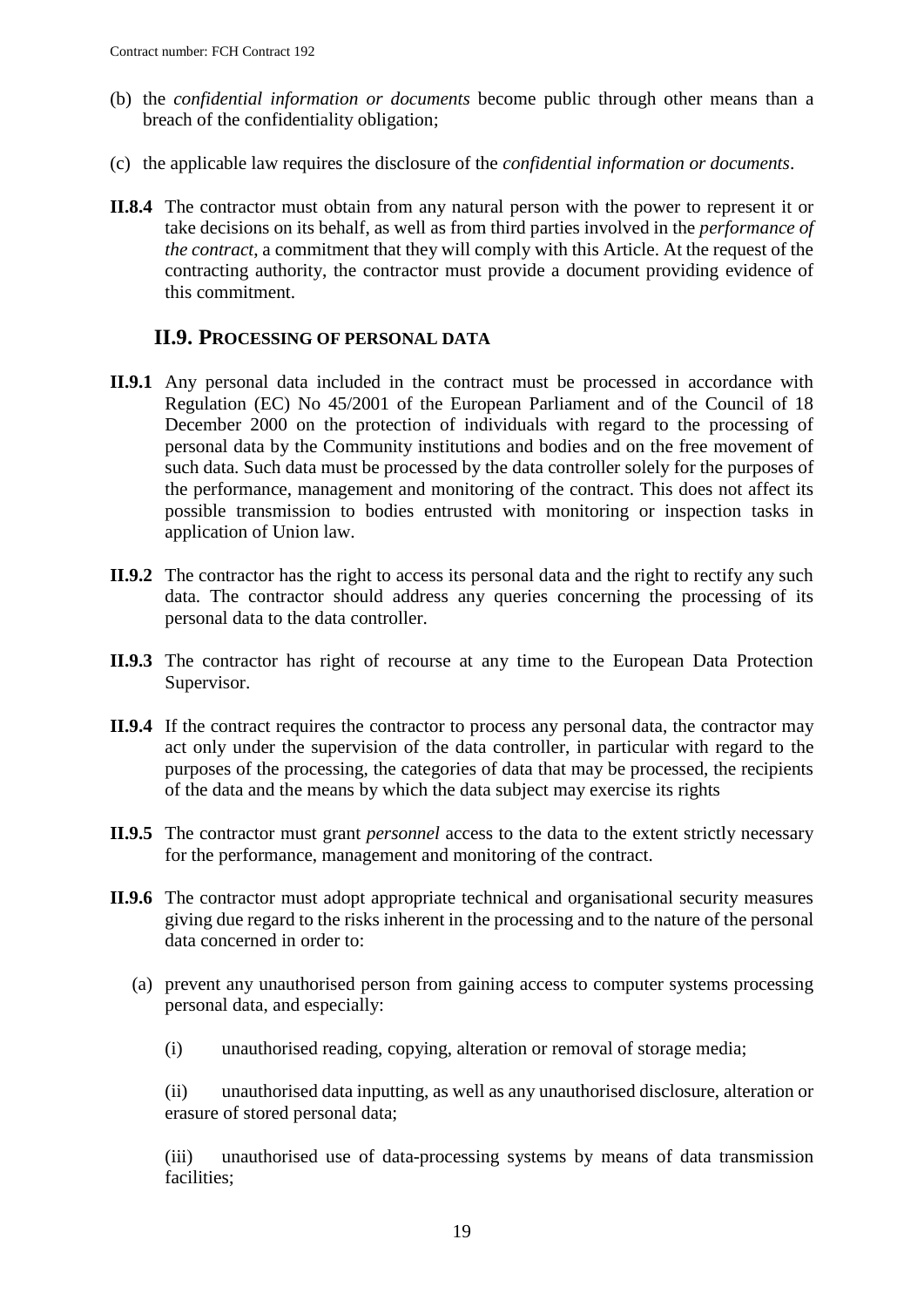- (b) the *confidential information or documents* become public through other means than a breach of the confidentiality obligation;
- (c) the applicable law requires the disclosure of the *confidential information or documents*.
- **II.8.4** The contractor must obtain from any natural person with the power to represent it or take decisions on its behalf, as well as from third parties involved in the *performance of the contract*, a commitment that they will comply with this Article. At the request of the contracting authority, the contractor must provide a document providing evidence of this commitment.

### **II.9. PROCESSING OF PERSONAL DATA**

- <span id="page-18-0"></span>**II.9.1** Any personal data included in the contract must be processed in accordance with Regulation (EC) No 45/2001 of the European Parliament and of the Council of 18 December 2000 on the protection of individuals with regard to the processing of personal data by the Community institutions and bodies and on the free movement of such data. Such data must be processed by the data controller solely for the purposes of the performance, management and monitoring of the contract. This does not affect its possible transmission to bodies entrusted with monitoring or inspection tasks in application of Union law.
- **II.9.2** The contractor has the right to access its personal data and the right to rectify any such data. The contractor should address any queries concerning the processing of its personal data to the data controller.
- **II.9.3** The contractor has right of recourse at any time to the European Data Protection Supervisor.
- **II.9.4** If the contract requires the contractor to process any personal data, the contractor may act only under the supervision of the data controller, in particular with regard to the purposes of the processing, the categories of data that may be processed, the recipients of the data and the means by which the data subject may exercise its rights
- **II.9.5** The contractor must grant *personnel* access to the data to the extent strictly necessary for the performance, management and monitoring of the contract.
- **II.9.6** The contractor must adopt appropriate technical and organisational security measures giving due regard to the risks inherent in the processing and to the nature of the personal data concerned in order to:
	- (a) prevent any unauthorised person from gaining access to computer systems processing personal data, and especially:
		- (i) unauthorised reading, copying, alteration or removal of storage media;

(ii) unauthorised data inputting, as well as any unauthorised disclosure, alteration or erasure of stored personal data;

(iii) unauthorised use of data-processing systems by means of data transmission facilities;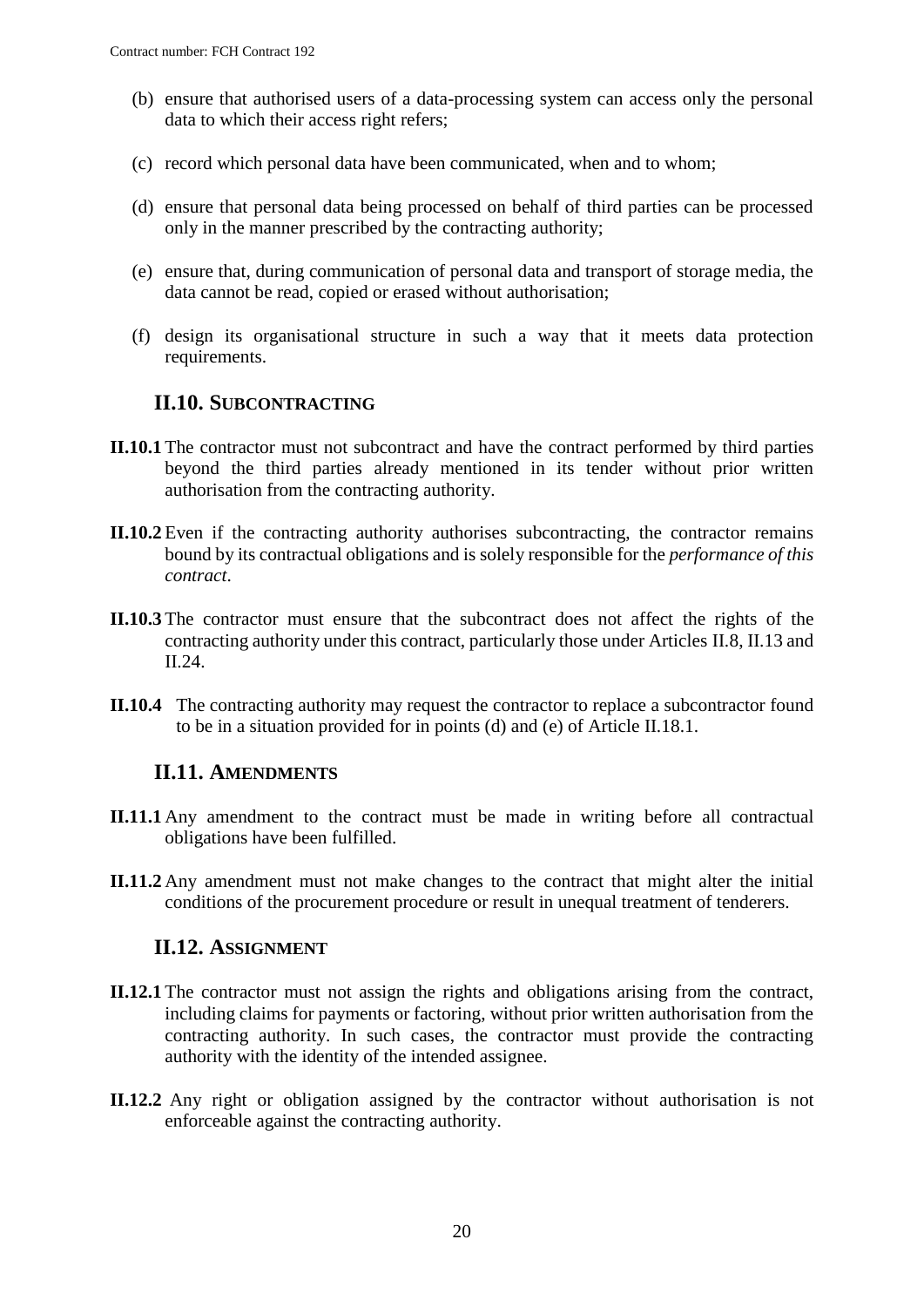- (b) ensure that authorised users of a data-processing system can access only the personal data to which their access right refers;
- (c) record which personal data have been communicated, when and to whom;
- (d) ensure that personal data being processed on behalf of third parties can be processed only in the manner prescribed by the contracting authority;
- (e) ensure that, during communication of personal data and transport of storage media, the data cannot be read, copied or erased without authorisation;
- (f) design its organisational structure in such a way that it meets data protection requirements.

### <span id="page-19-0"></span>**II.10. SUBCONTRACTING**

- **II.10.1** The contractor must not subcontract and have the contract performed by third parties beyond the third parties already mentioned in its tender without prior written authorisation from the contracting authority.
- **II.10.2** Even if the contracting authority authorises subcontracting, the contractor remains bound by its contractual obligations and is solely responsible for the *performance of this contract*.
- **II.10.3** The contractor must ensure that the subcontract does not affect the rights of the contracting authority under this contract, particularly those under Articles II.8, II.13 and II.24.
- **II.10.4** The contracting authority may request the contractor to replace a subcontractor found to be in a situation provided for in points (d) and (e) of Article II.18.1.

#### <span id="page-19-1"></span>**II.11. AMENDMENTS**

- **II.11.1** Any amendment to the contract must be made in writing before all contractual obligations have been fulfilled.
- **II.11.2** Any amendment must not make changes to the contract that might alter the initial conditions of the procurement procedure or result in unequal treatment of tenderers.

#### **II.12. ASSIGNMENT**

- <span id="page-19-2"></span>**II.12.1** The contractor must not assign the rights and obligations arising from the contract, including claims for payments or factoring, without prior written authorisation from the contracting authority. In such cases, the contractor must provide the contracting authority with the identity of the intended assignee.
- **II.12.2** Any right or obligation assigned by the contractor without authorisation is not enforceable against the contracting authority.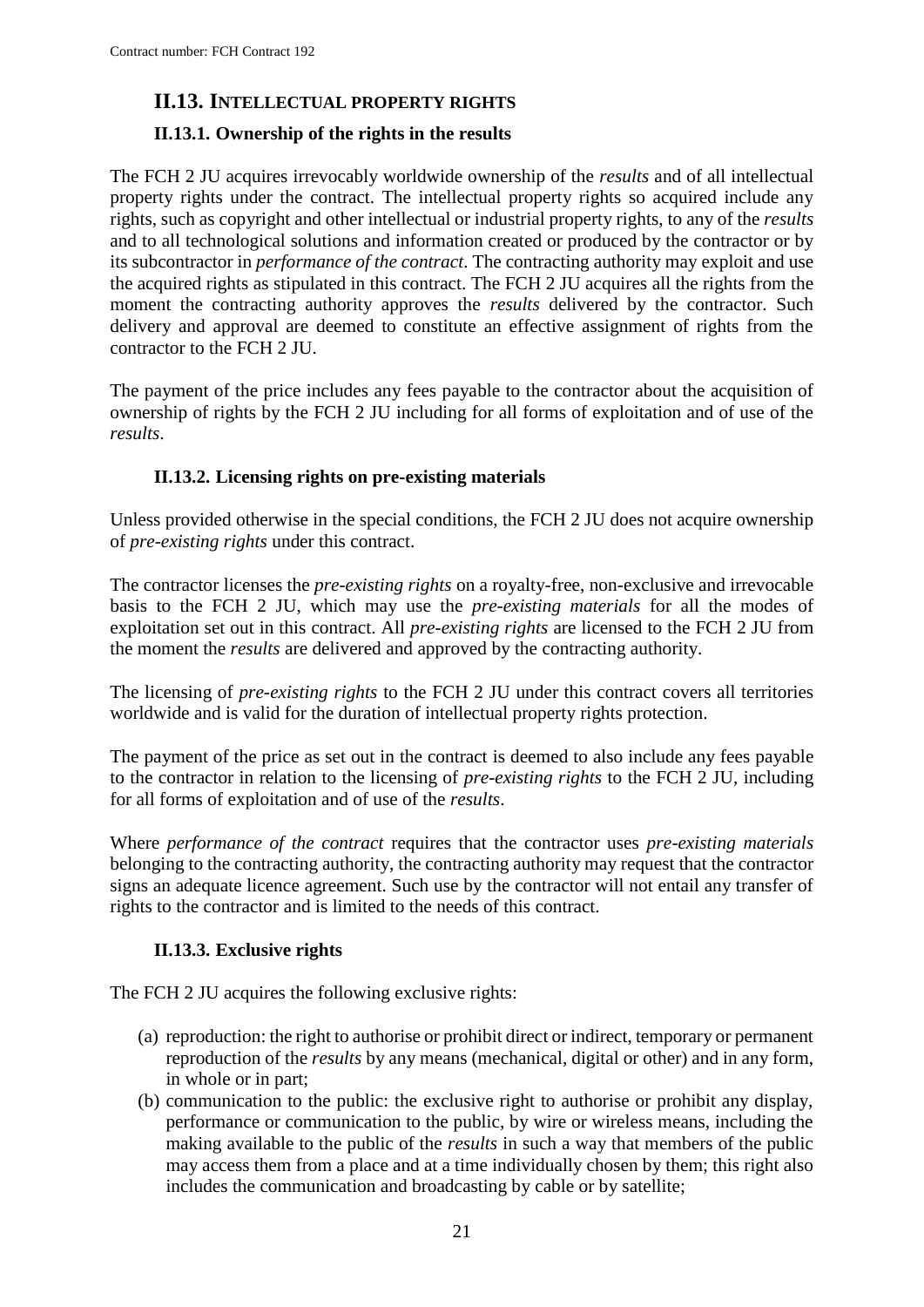## <span id="page-20-0"></span>**II.13. INTELLECTUAL PROPERTY RIGHTS**

## <span id="page-20-1"></span>**II.13.1. Ownership of the rights in the results**

The FCH 2 JU acquires irrevocably worldwide ownership of the *results* and of all intellectual property rights under the contract. The intellectual property rights so acquired include any rights, such as copyright and other intellectual or industrial property rights, to any of the *results* and to all technological solutions and information created or produced by the contractor or by its subcontractor in *performance of the contract*. The contracting authority may exploit and use the acquired rights as stipulated in this contract. The FCH 2 JU acquires all the rights from the moment the contracting authority approves the *results* delivered by the contractor. Such delivery and approval are deemed to constitute an effective assignment of rights from the contractor to the FCH 2 JU.

The payment of the price includes any fees payable to the contractor about the acquisition of ownership of rights by the FCH 2 JU including for all forms of exploitation and of use of the *results*.

#### **II.13.2. Licensing rights on pre-existing materials**

<span id="page-20-2"></span>Unless provided otherwise in the special conditions, the FCH 2 JU does not acquire ownership of *pre-existing rights* under this contract.

The contractor licenses the *pre-existing rights* on a royalty-free, non-exclusive and irrevocable basis to the FCH 2 JU, which may use the *pre-existing materials* for all the modes of exploitation set out in this contract. All *pre-existing rights* are licensed to the FCH 2 JU from the moment the *results* are delivered and approved by the contracting authority.

The licensing of *pre-existing rights* to the FCH 2 JU under this contract covers all territories worldwide and is valid for the duration of intellectual property rights protection.

The payment of the price as set out in the contract is deemed to also include any fees payable to the contractor in relation to the licensing of *pre-existing rights* to the FCH 2 JU, including for all forms of exploitation and of use of the *results*.

Where *performance of the contract* requires that the contractor uses *pre-existing materials* belonging to the contracting authority, the contracting authority may request that the contractor signs an adequate licence agreement. Such use by the contractor will not entail any transfer of rights to the contractor and is limited to the needs of this contract.

#### **II.13.3. Exclusive rights**

<span id="page-20-3"></span>The FCH 2 JU acquires the following exclusive rights:

- (a) reproduction: the right to authorise or prohibit direct or indirect, temporary or permanent reproduction of the *results* by any means (mechanical, digital or other) and in any form, in whole or in part;
- (b) communication to the public: the exclusive right to authorise or prohibit any display, performance or communication to the public, by wire or wireless means, including the making available to the public of the *results* in such a way that members of the public may access them from a place and at a time individually chosen by them; this right also includes the communication and broadcasting by cable or by satellite;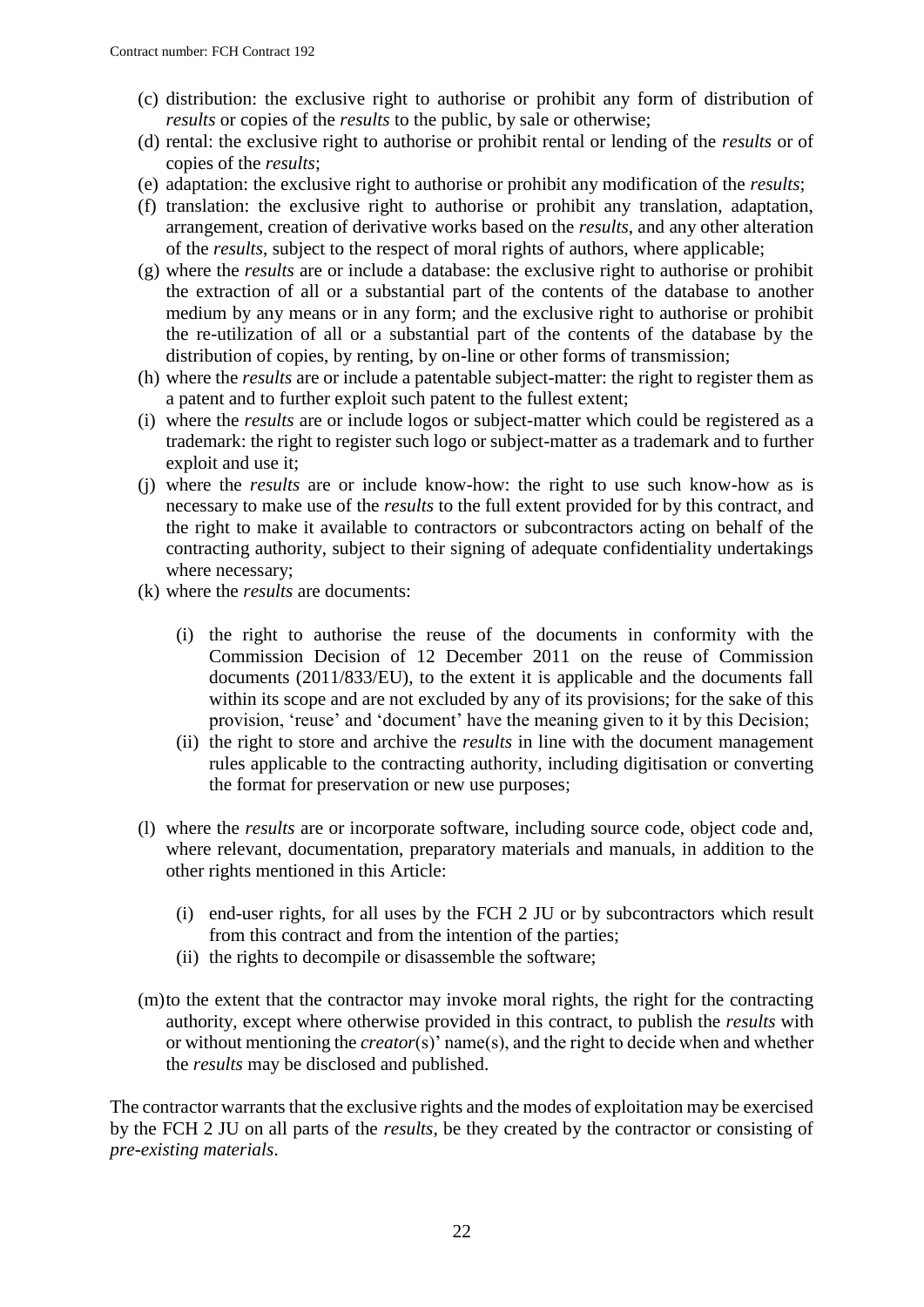- (c) distribution: the exclusive right to authorise or prohibit any form of distribution of *results* or copies of the *results* to the public, by sale or otherwise;
- (d) rental: the exclusive right to authorise or prohibit rental or lending of the *results* or of copies of the *results*;
- (e) adaptation: the exclusive right to authorise or prohibit any modification of the *results*;
- (f) translation: the exclusive right to authorise or prohibit any translation, adaptation, arrangement, creation of derivative works based on the *results*, and any other alteration of the *results*, subject to the respect of moral rights of authors, where applicable;
- (g) where the *results* are or include a database: the exclusive right to authorise or prohibit the extraction of all or a substantial part of the contents of the database to another medium by any means or in any form; and the exclusive right to authorise or prohibit the re-utilization of all or a substantial part of the contents of the database by the distribution of copies, by renting, by on-line or other forms of transmission;
- (h) where the *results* are or include a patentable subject-matter: the right to register them as a patent and to further exploit such patent to the fullest extent;
- (i) where the *results* are or include logos or subject-matter which could be registered as a trademark: the right to register such logo or subject-matter as a trademark and to further exploit and use it;
- (j) where the *results* are or include know-how: the right to use such know-how as is necessary to make use of the *results* to the full extent provided for by this contract, and the right to make it available to contractors or subcontractors acting on behalf of the contracting authority, subject to their signing of adequate confidentiality undertakings where necessary;
- (k) where the *results* are documents:
	- (i) the right to authorise the reuse of the documents in conformity with the Commission Decision of 12 December 2011 on the reuse of Commission documents (2011/833/EU), to the extent it is applicable and the documents fall within its scope and are not excluded by any of its provisions; for the sake of this provision, 'reuse' and 'document' have the meaning given to it by this Decision;
	- (ii) the right to store and archive the *results* in line with the document management rules applicable to the contracting authority, including digitisation or converting the format for preservation or new use purposes;
- (l) where the *results* are or incorporate software, including source code, object code and, where relevant, documentation, preparatory materials and manuals, in addition to the other rights mentioned in this Article:
	- (i) end-user rights, for all uses by the FCH 2 JU or by subcontractors which result from this contract and from the intention of the parties;
	- (ii) the rights to decompile or disassemble the software;
- (m)to the extent that the contractor may invoke moral rights, the right for the contracting authority, except where otherwise provided in this contract, to publish the *results* with or without mentioning the *creator*(s)' name(s), and the right to decide when and whether the *results* may be disclosed and published.

The contractor warrants that the exclusive rights and the modes of exploitation may be exercised by the FCH 2 JU on all parts of the *results*, be they created by the contractor or consisting of *pre-existing materials*.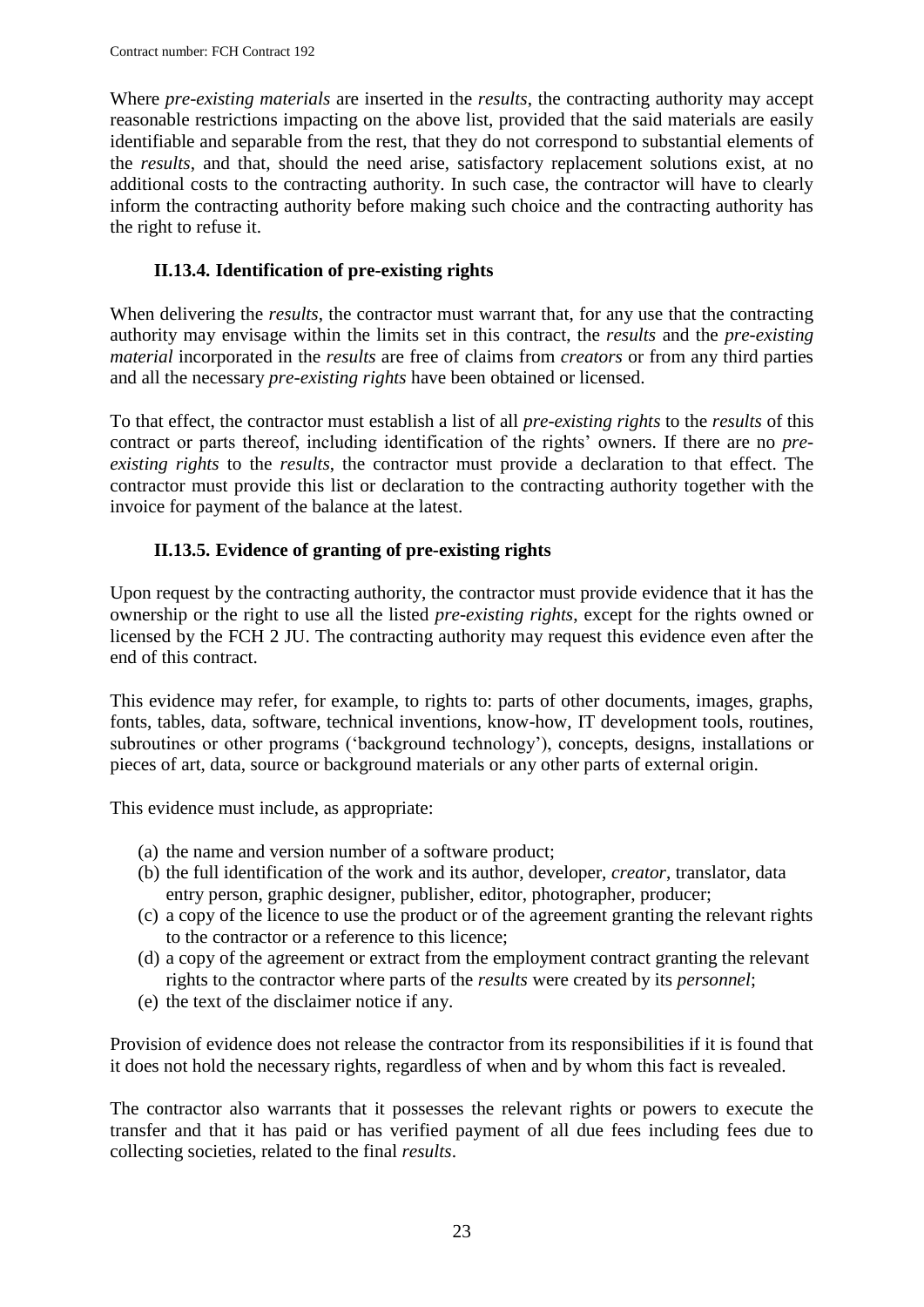Where *pre-existing materials* are inserted in the *results*, the contracting authority may accept reasonable restrictions impacting on the above list, provided that the said materials are easily identifiable and separable from the rest, that they do not correspond to substantial elements of the *results*, and that, should the need arise, satisfactory replacement solutions exist, at no additional costs to the contracting authority. In such case, the contractor will have to clearly inform the contracting authority before making such choice and the contracting authority has the right to refuse it.

## **II.13.4. Identification of pre-existing rights**

<span id="page-22-0"></span>When delivering the *results*, the contractor must warrant that, for any use that the contracting authority may envisage within the limits set in this contract, the *results* and the *pre-existing material* incorporated in the *results* are free of claims from *creators* or from any third parties and all the necessary *pre-existing rights* have been obtained or licensed.

To that effect, the contractor must establish a list of all *pre-existing rights* to the *results* of this contract or parts thereof, including identification of the rights' owners. If there are no *preexisting rights* to the *results*, the contractor must provide a declaration to that effect. The contractor must provide this list or declaration to the contracting authority together with the invoice for payment of the balance at the latest.

### **II.13.5. Evidence of granting of pre-existing rights**

<span id="page-22-1"></span>Upon request by the contracting authority, the contractor must provide evidence that it has the ownership or the right to use all the listed *pre-existing rights*, except for the rights owned or licensed by the FCH 2 JU. The contracting authority may request this evidence even after the end of this contract.

This evidence may refer, for example, to rights to: parts of other documents, images, graphs, fonts, tables, data, software, technical inventions, know-how, IT development tools, routines, subroutines or other programs ('background technology'), concepts, designs, installations or pieces of art, data, source or background materials or any other parts of external origin.

This evidence must include, as appropriate:

- (a) the name and version number of a software product;
- (b) the full identification of the work and its author, developer, *creator*, translator, data entry person, graphic designer, publisher, editor, photographer, producer;
- (c) a copy of the licence to use the product or of the agreement granting the relevant rights to the contractor or a reference to this licence;
- (d) a copy of the agreement or extract from the employment contract granting the relevant rights to the contractor where parts of the *results* were created by its *personnel*;
- (e) the text of the disclaimer notice if any.

Provision of evidence does not release the contractor from its responsibilities if it is found that it does not hold the necessary rights, regardless of when and by whom this fact is revealed.

The contractor also warrants that it possesses the relevant rights or powers to execute the transfer and that it has paid or has verified payment of all due fees including fees due to collecting societies, related to the final *results*.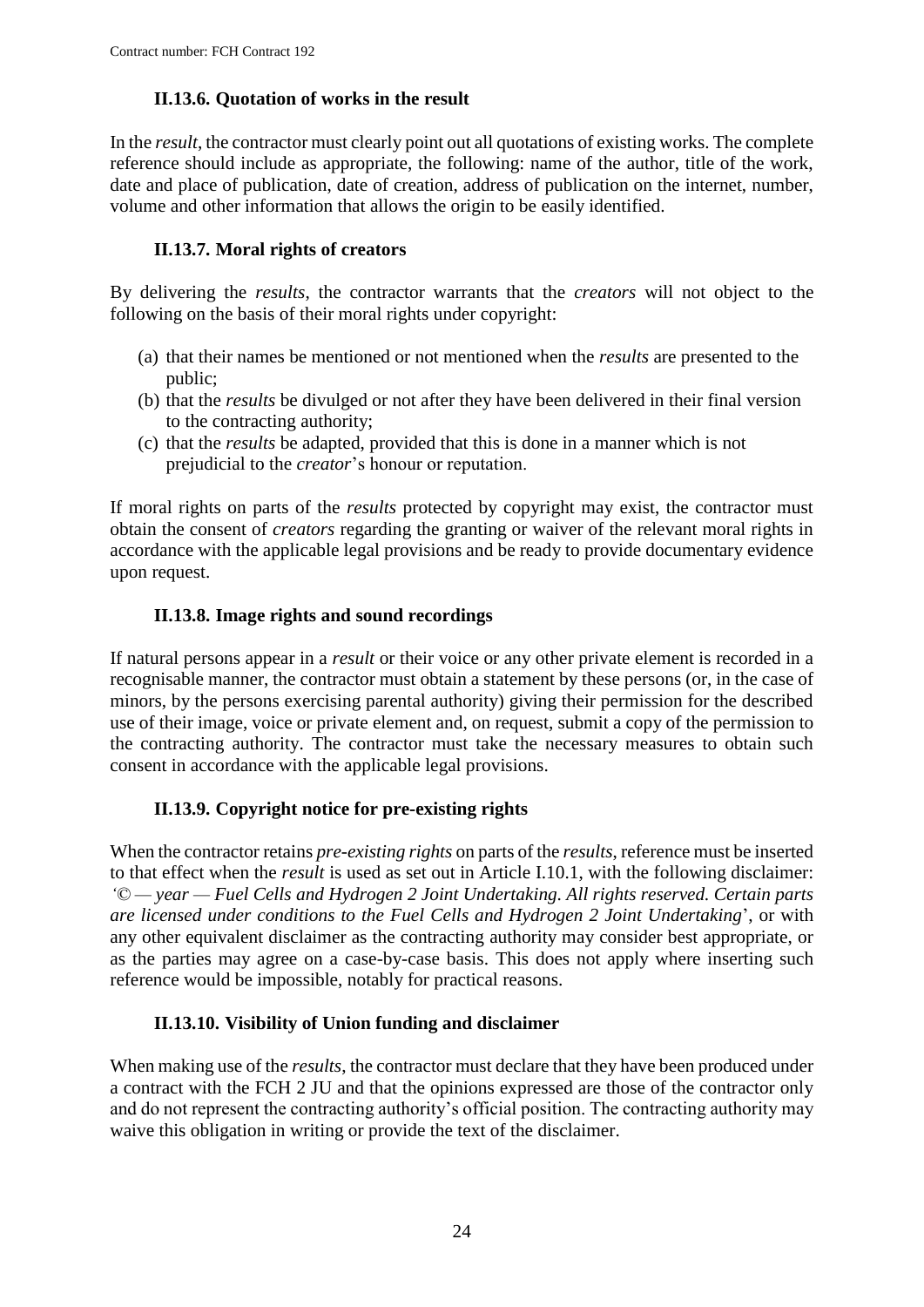## **II.13.6. Quotation of works in the result**

<span id="page-23-0"></span>In the *result*, the contractor must clearly point out all quotations of existing works. The complete reference should include as appropriate, the following: name of the author, title of the work, date and place of publication, date of creation, address of publication on the internet, number, volume and other information that allows the origin to be easily identified.

## **II.13.7. Moral rights of creators**

<span id="page-23-1"></span>By delivering the *results*, the contractor warrants that the *creators* will not object to the following on the basis of their moral rights under copyright:

- (a) that their names be mentioned or not mentioned when the *results* are presented to the public;
- (b) that the *results* be divulged or not after they have been delivered in their final version to the contracting authority;
- (c) that the *results* be adapted, provided that this is done in a manner which is not prejudicial to the *creator*'s honour or reputation.

If moral rights on parts of the *results* protected by copyright may exist, the contractor must obtain the consent of *creators* regarding the granting or waiver of the relevant moral rights in accordance with the applicable legal provisions and be ready to provide documentary evidence upon request.

### **II.13.8. Image rights and sound recordings**

<span id="page-23-2"></span>If natural persons appear in a *result* or their voice or any other private element is recorded in a recognisable manner, the contractor must obtain a statement by these persons (or, in the case of minors, by the persons exercising parental authority) giving their permission for the described use of their image, voice or private element and, on request, submit a copy of the permission to the contracting authority. The contractor must take the necessary measures to obtain such consent in accordance with the applicable legal provisions.

## **II.13.9. Copyright notice for pre-existing rights**

<span id="page-23-3"></span>When the contractor retains *pre-existing rights* on parts of the *results*, reference must be inserted to that effect when the *result* is used as set out in Article I.10.1, with the following disclaimer: *'© — year — Fuel Cells and Hydrogen 2 Joint Undertaking. All rights reserved. Certain parts are licensed under conditions to the Fuel Cells and Hydrogen 2 Joint Undertaking*', or with any other equivalent disclaimer as the contracting authority may consider best appropriate, or as the parties may agree on a case-by-case basis. This does not apply where inserting such reference would be impossible, notably for practical reasons.

#### **II.13.10. Visibility of Union funding and disclaimer**

<span id="page-23-4"></span>When making use of the *results*, the contractor must declare that they have been produced under a contract with the FCH 2 JU and that the opinions expressed are those of the contractor only and do not represent the contracting authority's official position. The contracting authority may waive this obligation in writing or provide the text of the disclaimer.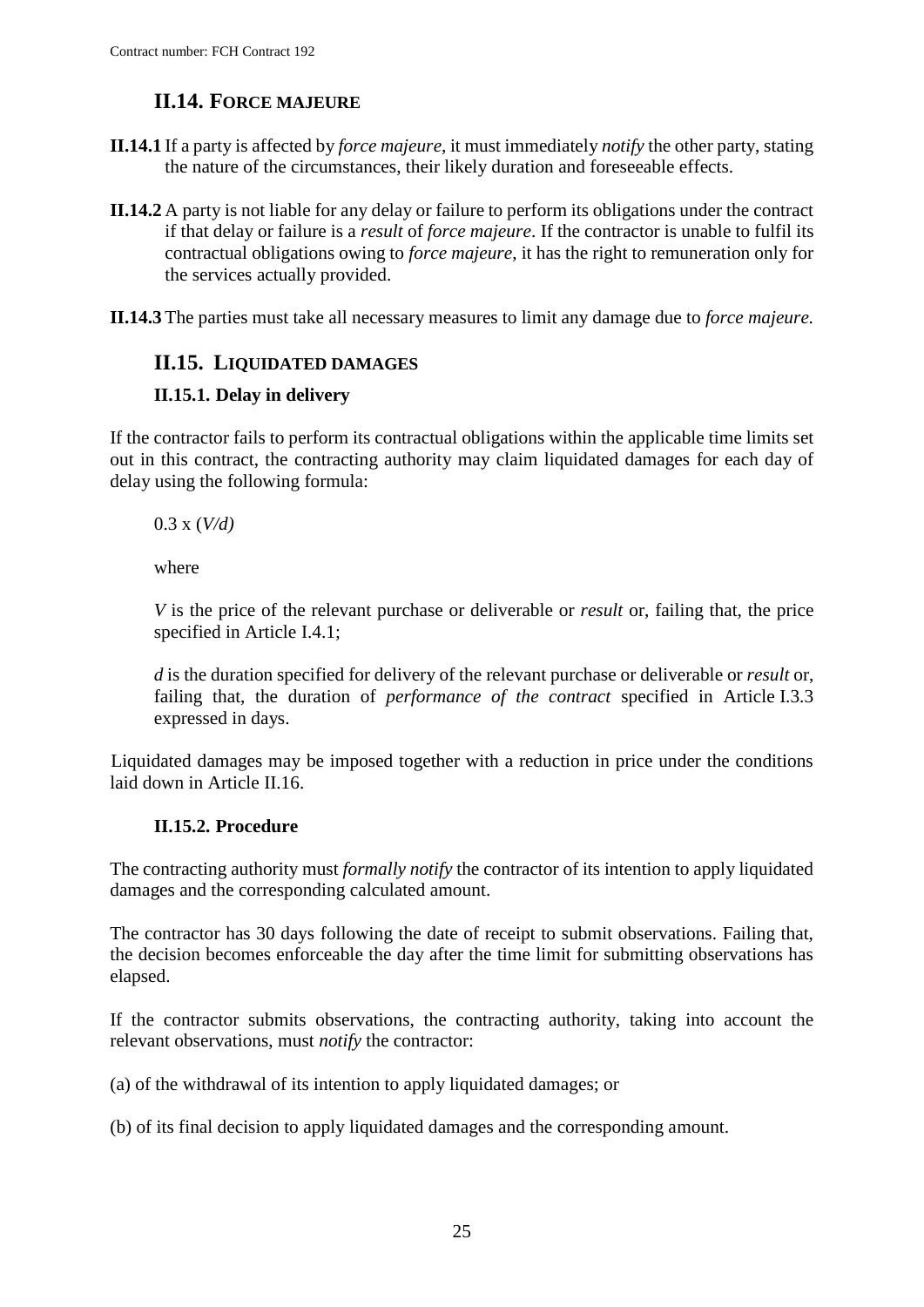## **II.14. FORCE MAJEURE**

- <span id="page-24-0"></span>**II.14.1** If a party is affected by *force majeure*, it must immediately *notify* the other party, stating the nature of the circumstances, their likely duration and foreseeable effects.
- **II.14.2** A party is not liable for any delay or failure to perform its obligations under the contract if that delay or failure is a *result* of *force majeure*. If the contractor is unable to fulfil its contractual obligations owing to *force majeure*, it has the right to remuneration only for the services actually provided.
- **II.14.3** The parties must take all necessary measures to limit any damage due to *force majeure.*

## <span id="page-24-1"></span>**II.15. LIQUIDATED DAMAGES**

### <span id="page-24-2"></span>**II.15.1. Delay in delivery**

If the contractor fails to perform its contractual obligations within the applicable time limits set out in this contract, the contracting authority may claim liquidated damages for each day of delay using the following formula:

0.3 x (*V/d)*

where

*V* is the price of the relevant purchase or deliverable or *result* or, failing that, the price specified in Article I.4.1;

*d* is the duration specified for delivery of the relevant purchase or deliverable or *result* or, failing that, the duration of *performance of the contract* specified in Article I.3.3 expressed in days.

Liquidated damages may be imposed together with a reduction in price under the conditions laid down in Article II.16.

## **II.15.2. Procedure**

<span id="page-24-3"></span>The contracting authority must *formally notify* the contractor of its intention to apply liquidated damages and the corresponding calculated amount.

The contractor has 30 days following the date of receipt to submit observations. Failing that, the decision becomes enforceable the day after the time limit for submitting observations has elapsed.

If the contractor submits observations, the contracting authority, taking into account the relevant observations, must *notify* the contractor:

(a) of the withdrawal of its intention to apply liquidated damages; or

(b) of its final decision to apply liquidated damages and the corresponding amount.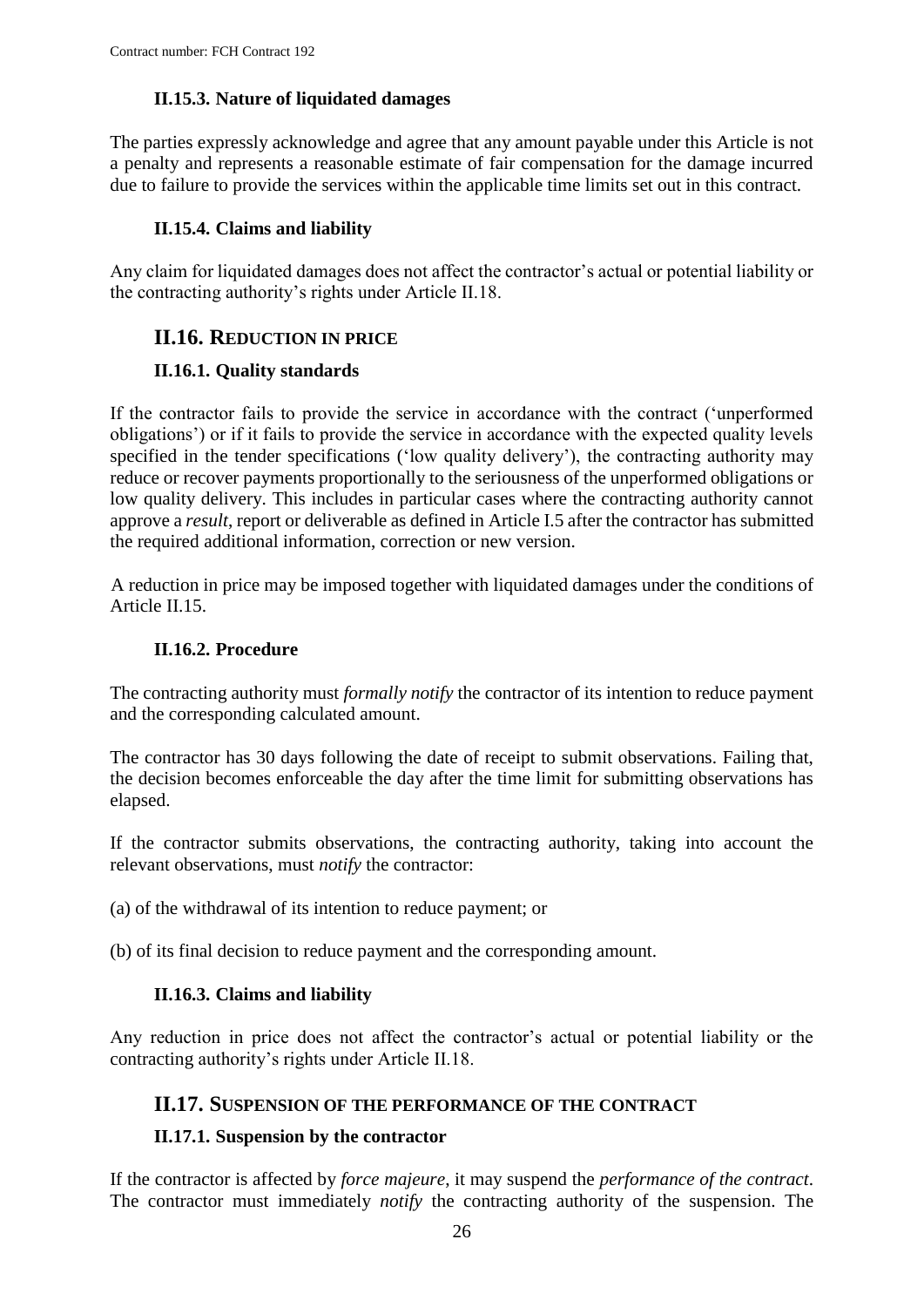## **II.15.3. Nature of liquidated damages**

<span id="page-25-0"></span>The parties expressly acknowledge and agree that any amount payable under this Article is not a penalty and represents a reasonable estimate of fair compensation for the damage incurred due to failure to provide the services within the applicable time limits set out in this contract.

## **II.15.4. Claims and liability**

<span id="page-25-1"></span>Any claim for liquidated damages does not affect the contractor's actual or potential liability or the contracting authority's rights under Article II.18.

## <span id="page-25-2"></span>**II.16. REDUCTION IN PRICE**

### <span id="page-25-3"></span>**II.16.1. Quality standards**

If the contractor fails to provide the service in accordance with the contract ('unperformed obligations') or if it fails to provide the service in accordance with the expected quality levels specified in the tender specifications ('low quality delivery'), the contracting authority may reduce or recover payments proportionally to the seriousness of the unperformed obligations or low quality delivery. This includes in particular cases where the contracting authority cannot approve a *result*, report or deliverable as defined in Article I.5 after the contractor has submitted the required additional information, correction or new version.

A reduction in price may be imposed together with liquidated damages under the conditions of Article II.15.

#### **II.16.2. Procedure**

<span id="page-25-4"></span>The contracting authority must *formally notify* the contractor of its intention to reduce payment and the corresponding calculated amount.

The contractor has 30 days following the date of receipt to submit observations. Failing that, the decision becomes enforceable the day after the time limit for submitting observations has elapsed.

If the contractor submits observations, the contracting authority, taking into account the relevant observations, must *notify* the contractor:

(a) of the withdrawal of its intention to reduce payment; or

<span id="page-25-5"></span>(b) of its final decision to reduce payment and the corresponding amount.

#### **II.16.3. Claims and liability**

Any reduction in price does not affect the contractor's actual or potential liability or the contracting authority's rights under Article II.18.

## <span id="page-25-6"></span>**II.17. SUSPENSION OF THE PERFORMANCE OF THE CONTRACT**

#### <span id="page-25-7"></span>**II.17.1. Suspension by the contractor**

If the contractor is affected by *force majeure*, it may suspend the *performance of the contract*. The contractor must immediately *notify* the contracting authority of the suspension. The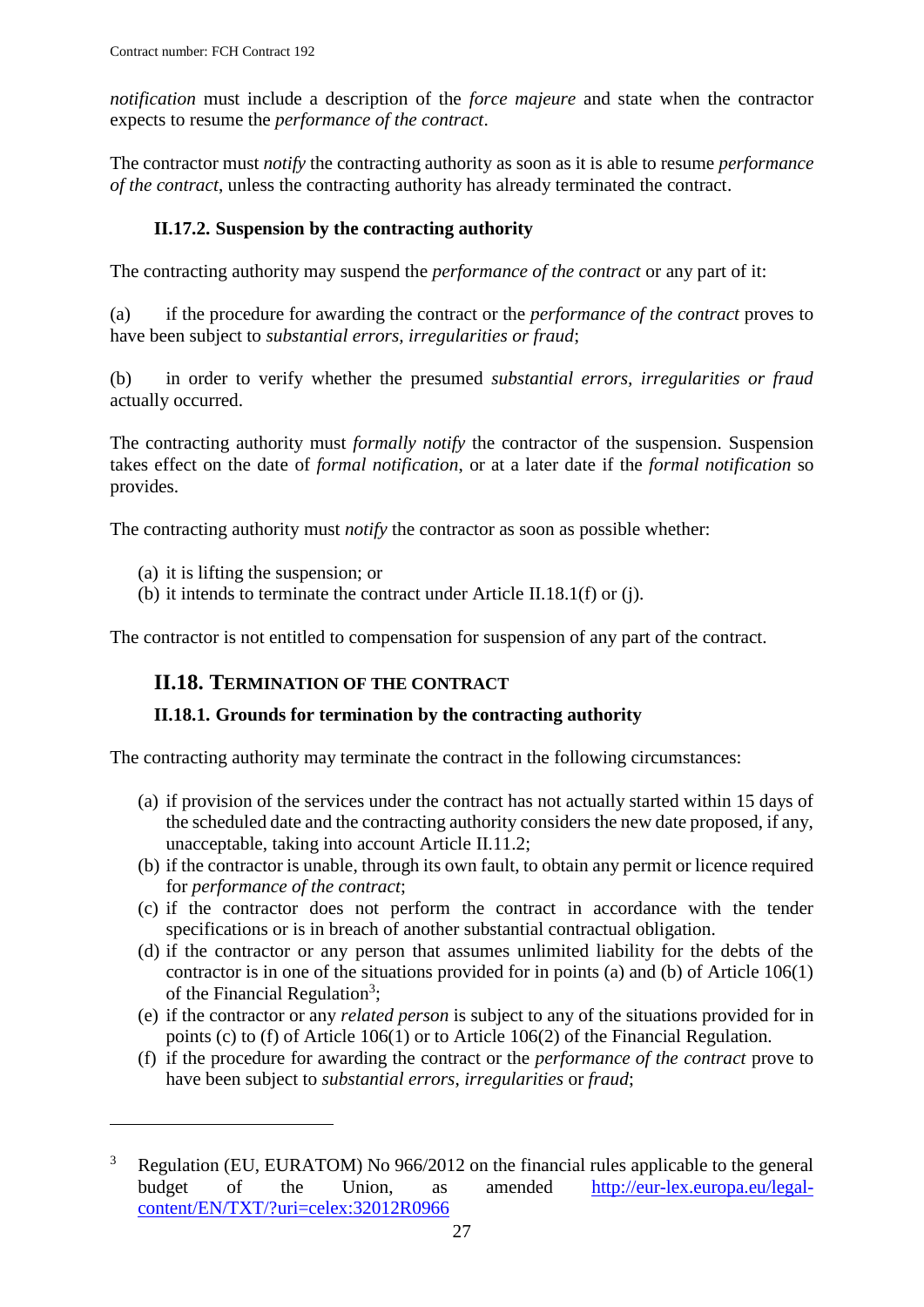*notification* must include a description of the *force majeure* and state when the contractor expects to resume the *performance of the contract*.

The contractor must *notify* the contracting authority as soon as it is able to resume *performance of the contract*, unless the contracting authority has already terminated the contract.

## **II.17.2. Suspension by the contracting authority**

<span id="page-26-0"></span>The contracting authority may suspend the *performance of the contract* or any part of it:

(a) if the procedure for awarding the contract or the *performance of the contract* proves to have been subject to *substantial errors, irregularities or fraud*;

(b) in order to verify whether the presumed *substantial errors, irregularities or fraud* actually occurred.

The contracting authority must *formally notify* the contractor of the suspension. Suspension takes effect on the date of *formal notification*, or at a later date if the *formal notification* so provides.

The contracting authority must *notify* the contractor as soon as possible whether:

(a) it is lifting the suspension; or

 $\overline{a}$ 

(b) it intends to terminate the contract under Article II.18.1(f) or (j).

<span id="page-26-1"></span>The contractor is not entitled to compensation for suspension of any part of the contract.

## **II.18. TERMINATION OF THE CONTRACT**

#### <span id="page-26-2"></span>**II.18.1. Grounds for termination by the contracting authority**

The contracting authority may terminate the contract in the following circumstances:

- (a) if provision of the services under the contract has not actually started within 15 days of the scheduled date and the contracting authority considers the new date proposed, if any, unacceptable, taking into account Article II.11.2;
- (b) if the contractor is unable, through its own fault, to obtain any permit or licence required for *performance of the contract*;
- (c) if the contractor does not perform the contract in accordance with the tender specifications or is in breach of another substantial contractual obligation.
- (d) if the contractor or any person that assumes unlimited liability for the debts of the contractor is in one of the situations provided for in points (a) and (b) of Article 106(1) of the Financial Regulation<sup>3</sup>;
- (e) if the contractor or any *related person* is subject to any of the situations provided for in points (c) to (f) of Article 106(1) or to Article 106(2) of the Financial Regulation.
- (f) if the procedure for awarding the contract or the *performance of the contract* prove to have been subject to *substantial errors*, *irregularities* or *fraud*;

 $3$  Regulation (EU, EURATOM) No 966/2012 on the financial rules applicable to the general budget of the Union, as amended [http://eur-lex.europa.eu/legal](http://eur-lex.europa.eu/legal-content/EN/TXT/?uri=celex:32012R0966)[content/EN/TXT/?uri=celex:32012R0966](http://eur-lex.europa.eu/legal-content/EN/TXT/?uri=celex:32012R0966)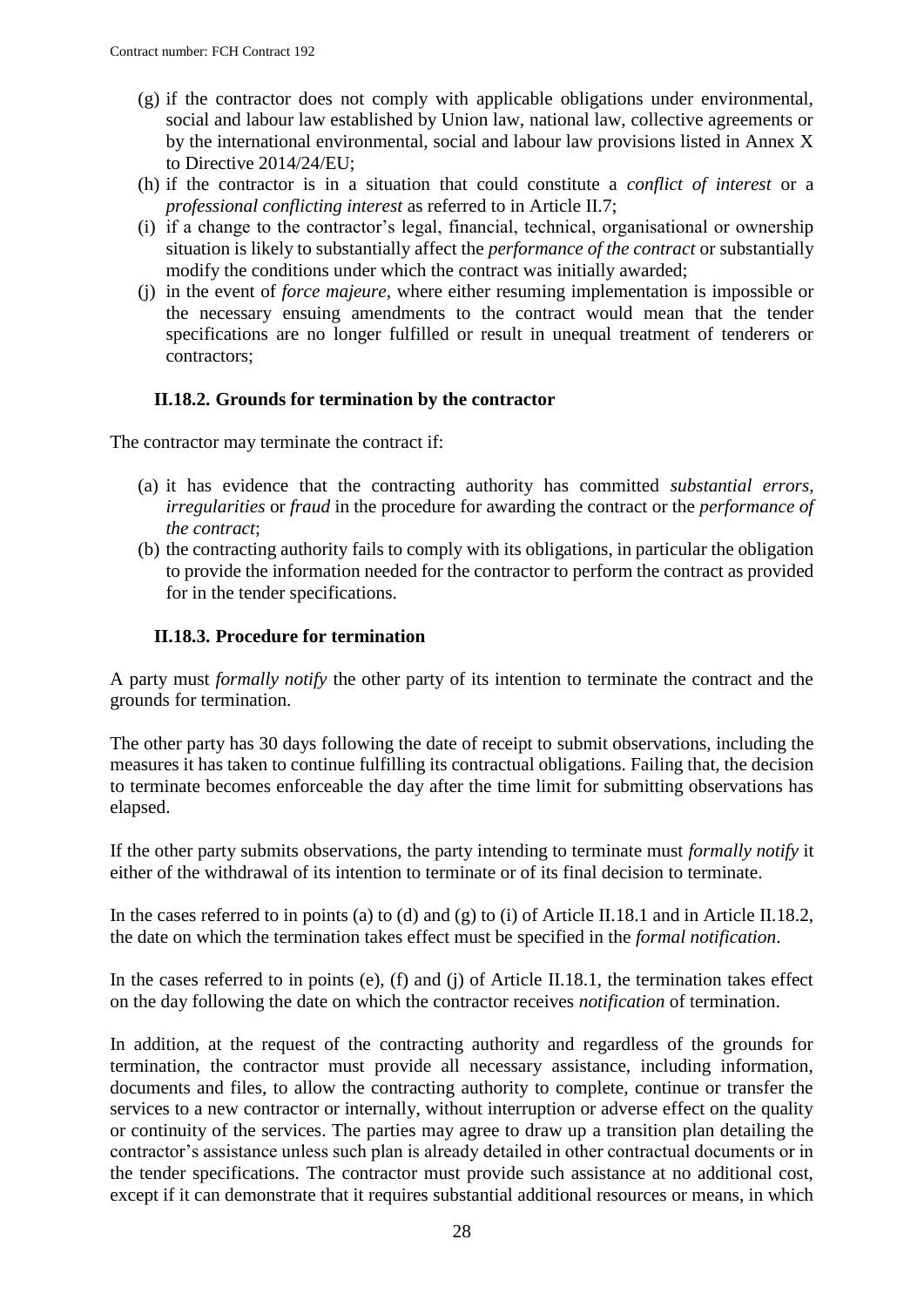- (g) if the contractor does not comply with applicable obligations under environmental, social and labour law established by Union law, national law, collective agreements or by the international environmental, social and labour law provisions listed in Annex X to Directive 2014/24/EU;
- (h) if the contractor is in a situation that could constitute a *conflict of interest* or a *professional conflicting interest* as referred to in Article II.7;
- (i) if a change to the contractor's legal, financial, technical, organisational or ownership situation is likely to substantially affect the *performance of the contract* or substantially modify the conditions under which the contract was initially awarded;
- (j) in the event of *force majeure*, where either resuming implementation is impossible or the necessary ensuing amendments to the contract would mean that the tender specifications are no longer fulfilled or result in unequal treatment of tenderers or contractors;

#### **II.18.2. Grounds for termination by the contractor**

<span id="page-27-0"></span>The contractor may terminate the contract if:

- (a) it has evidence that the contracting authority has committed *substantial errors*, *irregularities* or *fraud* in the procedure for awarding the contract or the *performance of the contract*;
- (b) the contracting authority fails to comply with its obligations, in particular the obligation to provide the information needed for the contractor to perform the contract as provided for in the tender specifications.

#### **II.18.3. Procedure for termination**

<span id="page-27-1"></span>A party must *formally notify* the other party of its intention to terminate the contract and the grounds for termination.

The other party has 30 days following the date of receipt to submit observations, including the measures it has taken to continue fulfilling its contractual obligations. Failing that, the decision to terminate becomes enforceable the day after the time limit for submitting observations has elapsed.

If the other party submits observations, the party intending to terminate must *formally notify* it either of the withdrawal of its intention to terminate or of its final decision to terminate.

In the cases referred to in points (a) to (d) and (g) to (i) of Article II.18.1 and in Article II.18.2, the date on which the termination takes effect must be specified in the *formal notification*.

In the cases referred to in points (e), (f) and (j) of Article II.18.1, the termination takes effect on the day following the date on which the contractor receives *notification* of termination.

In addition, at the request of the contracting authority and regardless of the grounds for termination, the contractor must provide all necessary assistance, including information, documents and files, to allow the contracting authority to complete, continue or transfer the services to a new contractor or internally, without interruption or adverse effect on the quality or continuity of the services. The parties may agree to draw up a transition plan detailing the contractor's assistance unless such plan is already detailed in other contractual documents or in the tender specifications. The contractor must provide such assistance at no additional cost, except if it can demonstrate that it requires substantial additional resources or means, in which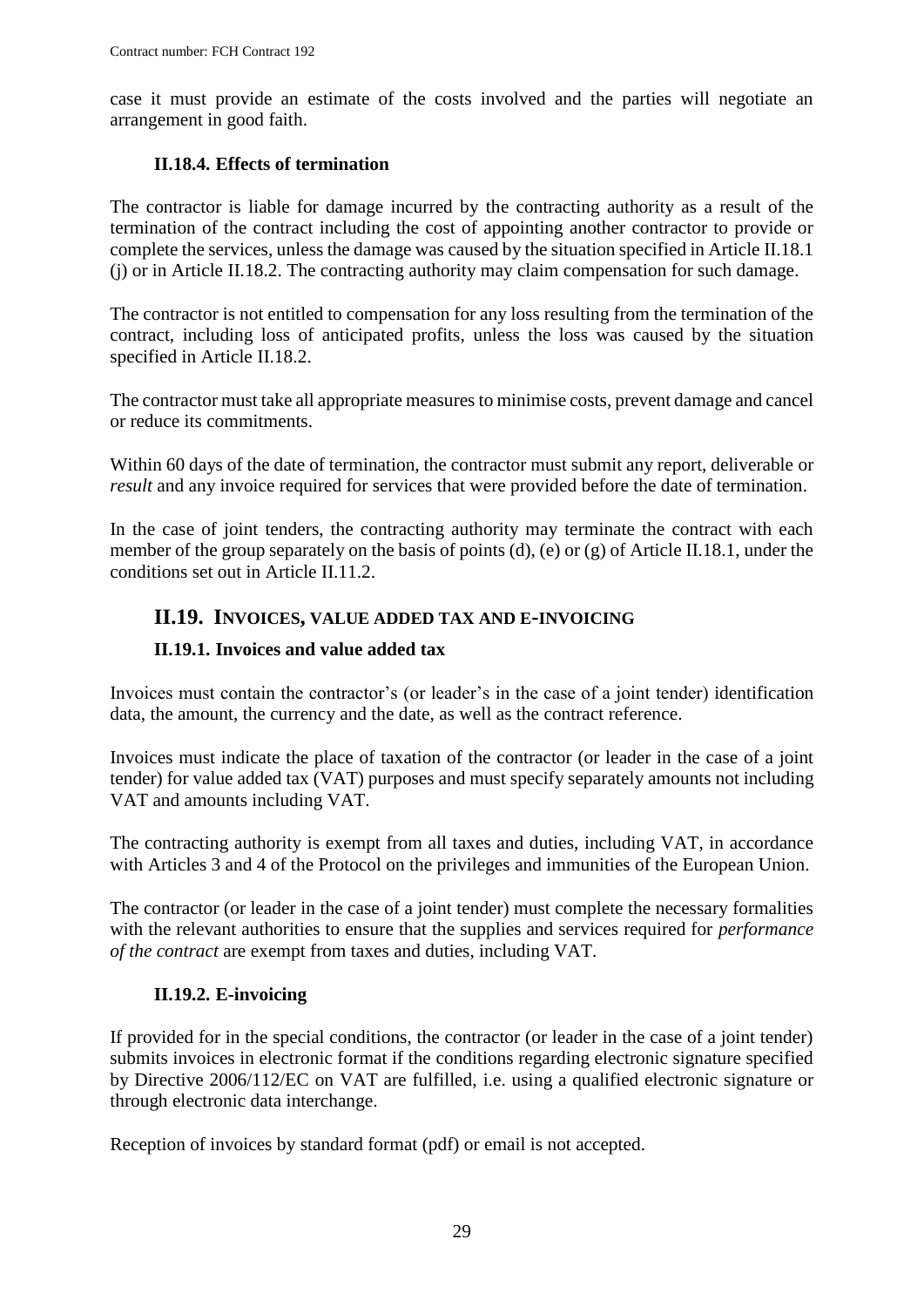case it must provide an estimate of the costs involved and the parties will negotiate an arrangement in good faith.

#### **II.18.4. Effects of termination**

<span id="page-28-0"></span>The contractor is liable for damage incurred by the contracting authority as a result of the termination of the contract including the cost of appointing another contractor to provide or complete the services, unless the damage was caused by the situation specified in Article II.18.1 (j) or in Article II.18.2. The contracting authority may claim compensation for such damage.

The contractor is not entitled to compensation for any loss resulting from the termination of the contract, including loss of anticipated profits, unless the loss was caused by the situation specified in Article II.18.2.

The contractor must take all appropriate measures to minimise costs, prevent damage and cancel or reduce its commitments.

Within 60 days of the date of termination, the contractor must submit any report, deliverable or *result* and any invoice required for services that were provided before the date of termination.

In the case of joint tenders, the contracting authority may terminate the contract with each member of the group separately on the basis of points (d), (e) or (g) of Article II.18.1, under the conditions set out in Article II.11.2.

### <span id="page-28-1"></span>**II.19. INVOICES, VALUE ADDED TAX AND E-INVOICING**

#### <span id="page-28-2"></span>**II.19.1. Invoices and value added tax**

Invoices must contain the contractor's (or leader's in the case of a joint tender) identification data, the amount, the currency and the date, as well as the contract reference.

Invoices must indicate the place of taxation of the contractor (or leader in the case of a joint tender) for value added tax (VAT) purposes and must specify separately amounts not including VAT and amounts including VAT.

The contracting authority is exempt from all taxes and duties, including VAT, in accordance with Articles 3 and 4 of the Protocol on the privileges and immunities of the European Union.

The contractor (or leader in the case of a joint tender) must complete the necessary formalities with the relevant authorities to ensure that the supplies and services required for *performance of the contract* are exempt from taxes and duties, including VAT.

#### **II.19.2. E-invoicing**

<span id="page-28-3"></span>If provided for in the special conditions, the contractor (or leader in the case of a joint tender) submits invoices in electronic format if the conditions regarding electronic signature specified by Directive 2006/112/EC on VAT are fulfilled, i.e. using a qualified electronic signature or through electronic data interchange.

Reception of invoices by standard format (pdf) or email is not accepted.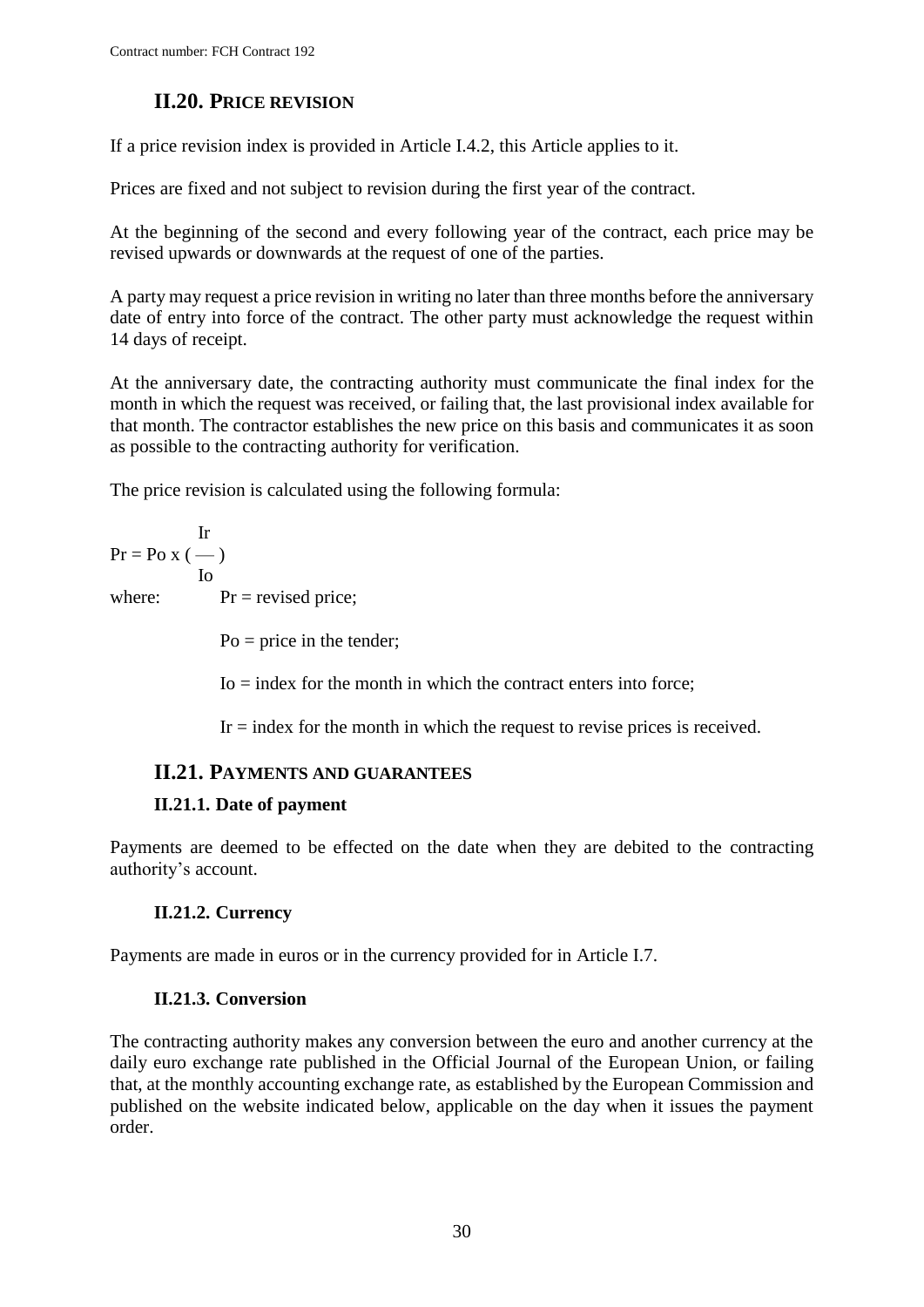## **II.20. PRICE REVISION**

<span id="page-29-0"></span>If a price revision index is provided in Article I.4.2, this Article applies to it.

Prices are fixed and not subject to revision during the first year of the contract.

At the beginning of the second and every following year of the contract, each price may be revised upwards or downwards at the request of one of the parties.

A party may request a price revision in writing no later than three months before the anniversary date of entry into force of the contract. The other party must acknowledge the request within 14 days of receipt.

At the anniversary date, the contracting authority must communicate the final index for the month in which the request was received, or failing that, the last provisional index available for that month. The contractor establishes the new price on this basis and communicates it as soon as possible to the contracting authority for verification.

The price revision is calculated using the following formula:

Ir  $Pr = PoX$  (--) Io where:  $Pr = \text{revised price};$ 

 $Po = price$  in the tender;

 $I_0$  = index for the month in which the contract enters into force;

 $Ir = index$  for the month in which the request to revise prices is received.

## <span id="page-29-1"></span>**II.21. PAYMENTS AND GUARANTEES**

## <span id="page-29-2"></span>**II.21.1. Date of payment**

Payments are deemed to be effected on the date when they are debited to the contracting authority's account.

## **II.21.2. Currency**

<span id="page-29-4"></span><span id="page-29-3"></span>Payments are made in euros or in the currency provided for in Article I.7.

## **II.21.3. Conversion**

The contracting authority makes any conversion between the euro and another currency at the daily euro exchange rate published in the Official Journal of the European Union, or failing that, at the monthly accounting exchange rate, as established by the European Commission and published on the website indicated below, applicable on the day when it issues the payment order.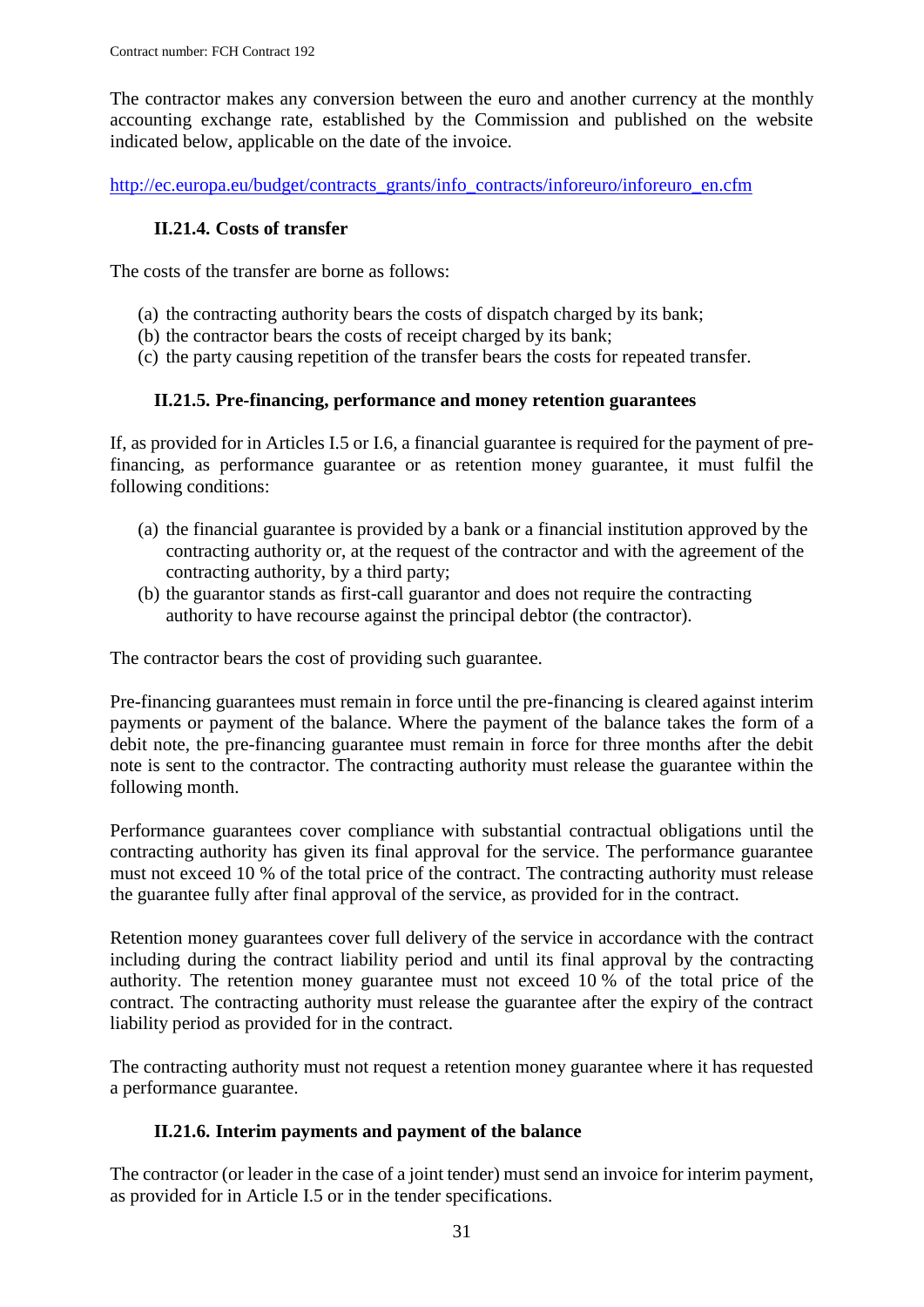The contractor makes any conversion between the euro and another currency at the monthly accounting exchange rate, established by the Commission and published on the website indicated below, applicable on the date of the invoice.

<span id="page-30-0"></span>[http://ec.europa.eu/budget/contracts\\_grants/info\\_contracts/inforeuro/inforeuro\\_en.cfm](http://ec.europa.eu/budget/contracts_grants/info_contracts/inforeuro/inforeuro_en.cfm)

#### **II.21.4. Costs of transfer**

The costs of the transfer are borne as follows:

- (a) the contracting authority bears the costs of dispatch charged by its bank;
- (b) the contractor bears the costs of receipt charged by its bank;
- (c) the party causing repetition of the transfer bears the costs for repeated transfer.

#### **II.21.5. Pre-financing, performance and money retention guarantees**

<span id="page-30-1"></span>If, as provided for in Articles I.5 or I.6*,* a financial guarantee is required for the payment of prefinancing, as performance guarantee or as retention money guarantee, it must fulfil the following conditions:

- (a) the financial guarantee is provided by a bank or a financial institution approved by the contracting authority or, at the request of the contractor and with the agreement of the contracting authority, by a third party;
- (b) the guarantor stands as first-call guarantor and does not require the contracting authority to have recourse against the principal debtor (the contractor).

The contractor bears the cost of providing such guarantee.

Pre-financing guarantees must remain in force until the pre-financing is cleared against interim payments or payment of the balance. Where the payment of the balance takes the form of a debit note, the pre-financing guarantee must remain in force for three months after the debit note is sent to the contractor. The contracting authority must release the guarantee within the following month.

Performance guarantees cover compliance with substantial contractual obligations until the contracting authority has given its final approval for the service. The performance guarantee must not exceed 10 % of the total price of the contract. The contracting authority must release the guarantee fully after final approval of the service, as provided for in the contract.

Retention money guarantees cover full delivery of the service in accordance with the contract including during the contract liability period and until its final approval by the contracting authority. The retention money guarantee must not exceed 10 % of the total price of the contract. The contracting authority must release the guarantee after the expiry of the contract liability period as provided for in the contract.

The contracting authority must not request a retention money guarantee where it has requested a performance guarantee.

#### **II.21.6. Interim payments and payment of the balance**

<span id="page-30-2"></span>The contractor (or leader in the case of a joint tender) must send an invoice for interim payment, as provided for in Article I.5 or in the tender specifications.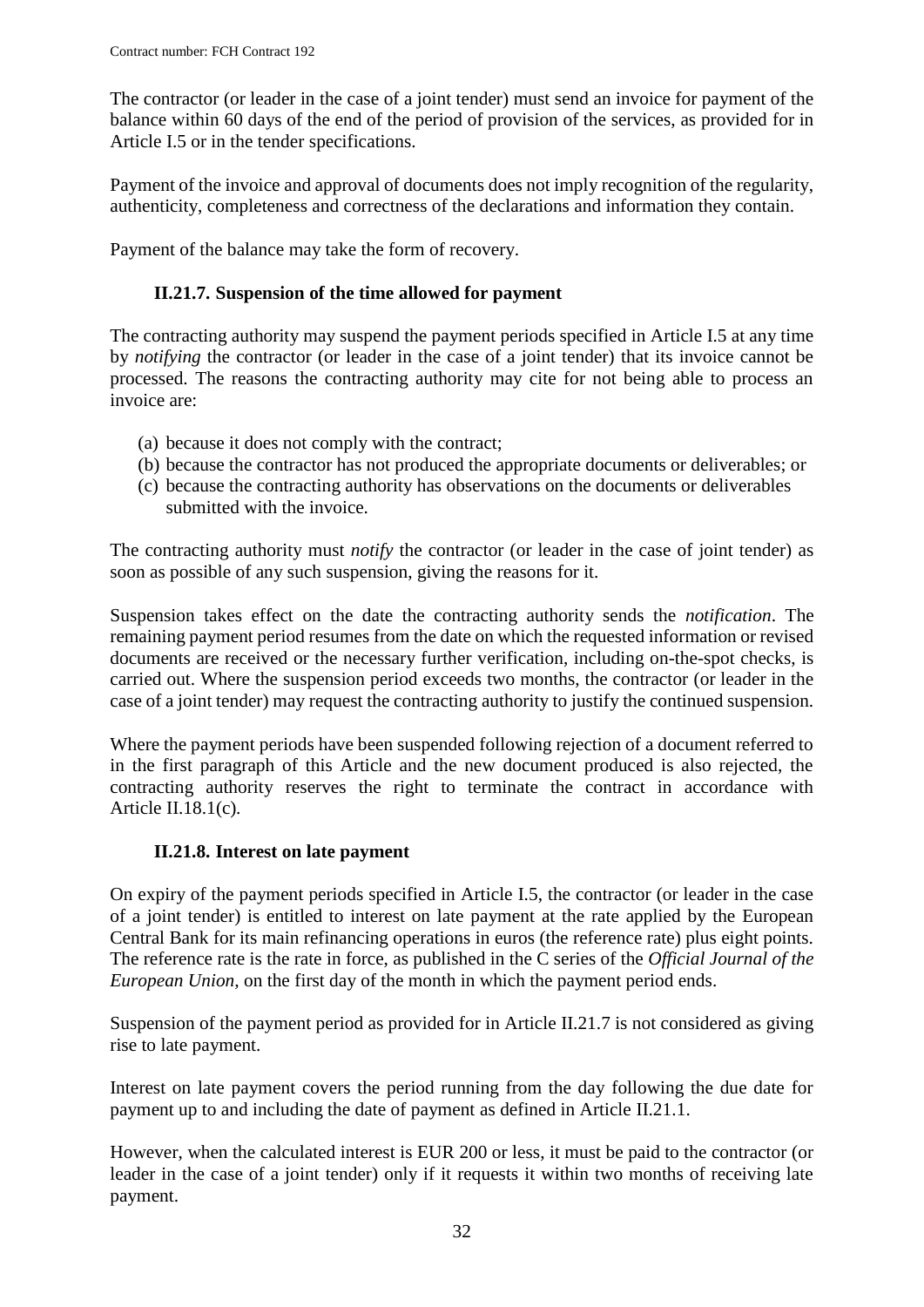The contractor (or leader in the case of a joint tender) must send an invoice for payment of the balance within 60 days of the end of the period of provision of the services, as provided for in Article I.5 or in the tender specifications.

Payment of the invoice and approval of documents does not imply recognition of the regularity, authenticity, completeness and correctness of the declarations and information they contain.

<span id="page-31-0"></span>Payment of the balance may take the form of recovery.

### **II.21.7. Suspension of the time allowed for payment**

The contracting authority may suspend the payment periods specified in Article I.5 at any time by *notifying* the contractor (or leader in the case of a joint tender) that its invoice cannot be processed. The reasons the contracting authority may cite for not being able to process an invoice are:

- (a) because it does not comply with the contract;
- (b) because the contractor has not produced the appropriate documents or deliverables; or
- (c) because the contracting authority has observations on the documents or deliverables submitted with the invoice.

The contracting authority must *notify* the contractor (or leader in the case of joint tender) as soon as possible of any such suspension, giving the reasons for it.

Suspension takes effect on the date the contracting authority sends the *notification*. The remaining payment period resumes from the date on which the requested information or revised documents are received or the necessary further verification, including on-the-spot checks, is carried out. Where the suspension period exceeds two months, the contractor (or leader in the case of a joint tender) may request the contracting authority to justify the continued suspension.

Where the payment periods have been suspended following rejection of a document referred to in the first paragraph of this Article and the new document produced is also rejected, the contracting authority reserves the right to terminate the contract in accordance with Article II.18.1(c)*.*

#### **II.21.8. Interest on late payment**

<span id="page-31-1"></span>On expiry of the payment periods specified in Article I.5, the contractor (or leader in the case of a joint tender) is entitled to interest on late payment at the rate applied by the European Central Bank for its main refinancing operations in euros (the reference rate) plus eight points. The reference rate is the rate in force, as published in the C series of the *Official Journal of the European Union,* on the first day of the month in which the payment period ends.

Suspension of the payment period as provided for in Article II.21.7 is not considered as giving rise to late payment.

Interest on late payment covers the period running from the day following the due date for payment up to and including the date of payment as defined in Article II.21.1.

However, when the calculated interest is EUR 200 or less, it must be paid to the contractor (or leader in the case of a joint tender) only if it requests it within two months of receiving late payment.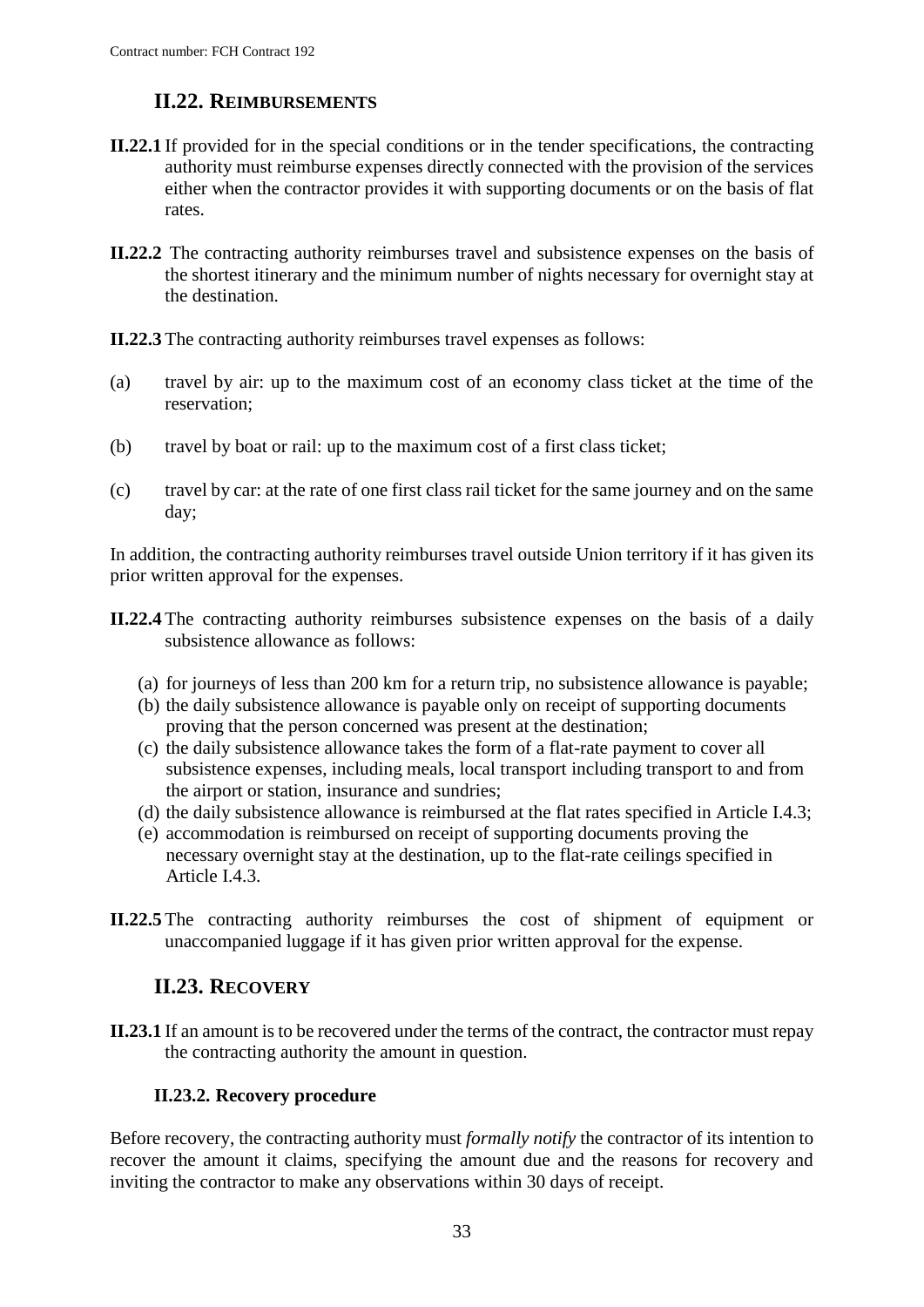## **II.22. REIMBURSEMENTS**

- <span id="page-32-0"></span>**II.22.1** If provided for in the special conditions or in the tender specifications, the contracting authority must reimburse expenses directly connected with the provision of the services either when the contractor provides it with supporting documents or on the basis of flat rates.
- **II.22.2** The contracting authority reimburses travel and subsistence expenses on the basis of the shortest itinerary and the minimum number of nights necessary for overnight stay at the destination.

**II.22.3** The contracting authority reimburses travel expenses as follows:

- (a) travel by air: up to the maximum cost of an economy class ticket at the time of the reservation;
- (b) travel by boat or rail: up to the maximum cost of a first class ticket;
- (c) travel by car: at the rate of one first class rail ticket for the same journey and on the same day;

In addition, the contracting authority reimburses travel outside Union territory if it has given its prior written approval for the expenses.

- **II.22.4** The contracting authority reimburses subsistence expenses on the basis of a daily subsistence allowance as follows:
	- (a) for journeys of less than 200 km for a return trip, no subsistence allowance is payable;
	- (b) the daily subsistence allowance is payable only on receipt of supporting documents proving that the person concerned was present at the destination;
	- (c) the daily subsistence allowance takes the form of a flat-rate payment to cover all subsistence expenses, including meals, local transport including transport to and from the airport or station, insurance and sundries;
	- (d) the daily subsistence allowance is reimbursed at the flat rates specified in Article I.4.3;
	- (e) accommodation is reimbursed on receipt of supporting documents proving the necessary overnight stay at the destination, up to the flat-rate ceilings specified in Article I.4.3.
- **II.22.5** The contracting authority reimburses the cost of shipment of equipment or unaccompanied luggage if it has given prior written approval for the expense.

## **II.23. RECOVERY**

<span id="page-32-1"></span>**II.23.1** If an amount is to be recovered under the terms of the contract, the contractor must repay the contracting authority the amount in question.

#### **II.23.2. Recovery procedure**

<span id="page-32-2"></span>Before recovery, the contracting authority must *formally notify* the contractor of its intention to recover the amount it claims, specifying the amount due and the reasons for recovery and inviting the contractor to make any observations within 30 days of receipt.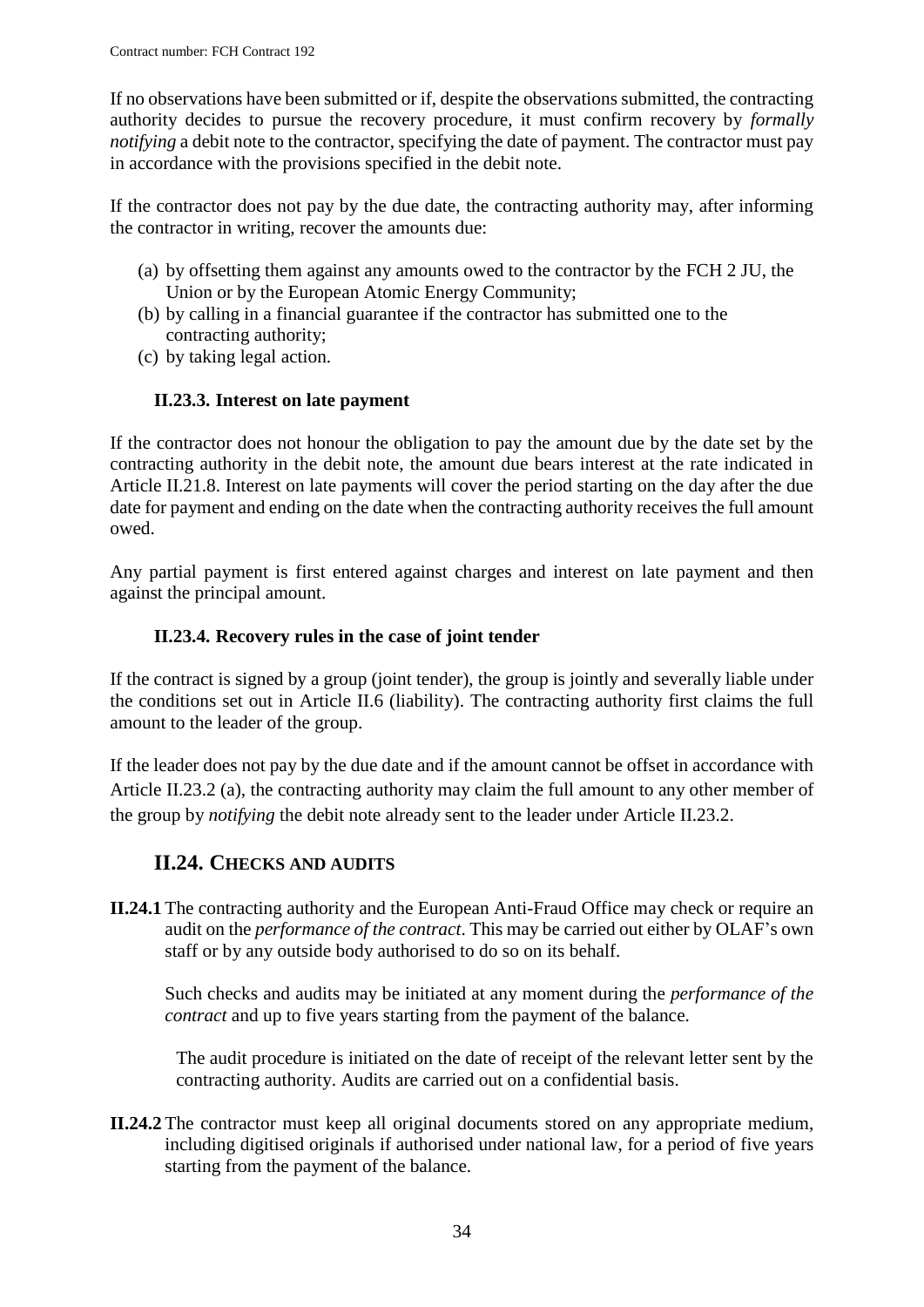If no observations have been submitted or if, despite the observations submitted, the contracting authority decides to pursue the recovery procedure, it must confirm recovery by *formally notifying* a debit note to the contractor, specifying the date of payment. The contractor must pay in accordance with the provisions specified in the debit note.

If the contractor does not pay by the due date, the contracting authority may, after informing the contractor in writing, recover the amounts due:

- (a) by offsetting them against any amounts owed to the contractor by the FCH 2 JU, the Union or by the European Atomic Energy Community;
- (b) by calling in a financial guarantee if the contractor has submitted one to the contracting authority;
- (c) by taking legal action.

#### **II.23.3. Interest on late payment**

<span id="page-33-0"></span>If the contractor does not honour the obligation to pay the amount due by the date set by the contracting authority in the debit note, the amount due bears interest at the rate indicated in Article II.21.8. Interest on late payments will cover the period starting on the day after the due date for payment and ending on the date when the contracting authority receives the full amount owed.

Any partial payment is first entered against charges and interest on late payment and then against the principal amount.

#### **II.23.4. Recovery rules in the case of joint tender**

<span id="page-33-1"></span>If the contract is signed by a group (joint tender), the group is jointly and severally liable under the conditions set out in Article II.6 (liability). The contracting authority first claims the full amount to the leader of the group.

If the leader does not pay by the due date and if the amount cannot be offset in accordance with Article II.23.2 (a), the contracting authority may claim the full amount to any other member of the group by *notifying* the debit note already sent to the leader under Article II.23.2.

## **II.24. CHECKS AND AUDITS**

<span id="page-33-2"></span>**II.24.1** The contracting authority and the European Anti-Fraud Office may check or require an audit on the *performance of the contract*. This may be carried out either by OLAF's own staff or by any outside body authorised to do so on its behalf.

Such checks and audits may be initiated at any moment during the *performance of the contract* and up to five years starting from the payment of the balance.

The audit procedure is initiated on the date of receipt of the relevant letter sent by the contracting authority. Audits are carried out on a confidential basis.

**II.24.2** The contractor must keep all original documents stored on any appropriate medium, including digitised originals if authorised under national law, for a period of five years starting from the payment of the balance.